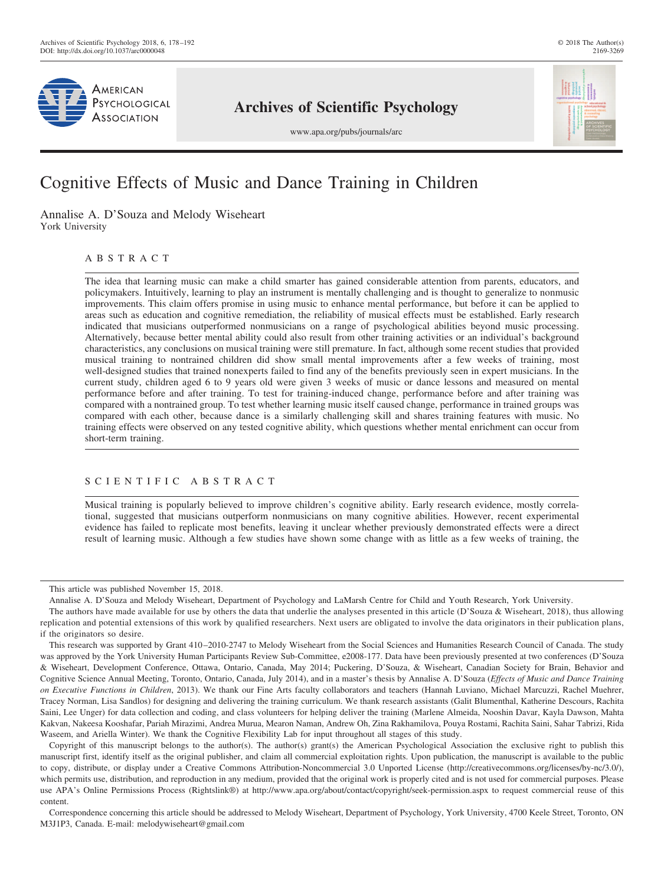

# **Archives of Scientific Psychology**

www.apa.org/pubs/journals/arc



# Cognitive Effects of Music and Dance Training in Children

Annalise A. D'Souza and Melody Wiseheart York University

# ABSTRACT

The idea that learning music can make a child smarter has gained considerable attention from parents, educators, and policymakers. Intuitively, learning to play an instrument is mentally challenging and is thought to generalize to nonmusic improvements. This claim offers promise in using music to enhance mental performance, but before it can be applied to areas such as education and cognitive remediation, the reliability of musical effects must be established. Early research indicated that musicians outperformed nonmusicians on a range of psychological abilities beyond music processing. Alternatively, because better mental ability could also result from other training activities or an individual's background characteristics, any conclusions on musical training were still premature. In fact, although some recent studies that provided musical training to nontrained children did show small mental improvements after a few weeks of training, most well-designed studies that trained nonexperts failed to find any of the benefits previously seen in expert musicians. In the current study, children aged 6 to 9 years old were given 3 weeks of music or dance lessons and measured on mental performance before and after training. To test for training-induced change, performance before and after training was compared with a nontrained group. To test whether learning music itself caused change, performance in trained groups was compared with each other, because dance is a similarly challenging skill and shares training features with music. No training effects were observed on any tested cognitive ability, which questions whether mental enrichment can occur from short-term training.

# SCIENTIFIC ABSTRACT

Musical training is popularly believed to improve children's cognitive ability. Early research evidence, mostly correlational, suggested that musicians outperform nonmusicians on many cognitive abilities. However, recent experimental evidence has failed to replicate most benefits, leaving it unclear whether previously demonstrated effects were a direct result of learning music. Although a few studies have shown some change with as little as a few weeks of training, the

Copyright of this manuscript belongs to the author(s). The author(s) grant(s) the American Psychological Association the exclusive right to publish this manuscript first, identify itself as the original publisher, and claim all commercial exploitation rights. Upon publication, the manuscript is available to the public to copy, distribute, or display under a Creative Commons Attribution-Noncommercial 3.0 Unported License [\(http://creativecommons.org/licenses/by-nc/3.0/\)](http://creativecommons.org/licenses/by-nc/3.0/), which permits use, distribution, and reproduction in any medium, provided that the original work is properly cited and is not used for commercial purposes. Please use APA's Online Permissions Process (Rightslink®) at<http://www.apa.org/about/contact/copyright/seek-permission.aspx> to request commercial reuse of this content.

Correspondence concerning this article should be addressed to Melody Wiseheart, Department of Psychology, York University, 4700 Keele Street, Toronto, ON M3J1P3, Canada. E-mail: [melodywiseheart@gmail.com](mailto:melodywiseheart@gmail.com)

This article was published November 15, 2018.

Annalise A. D'Souza and Melody Wiseheart, Department of Psychology and LaMarsh Centre for Child and Youth Research, York University.

The authors have made available for use by others the data that underlie the analyses presented in this article [\(D'Souza & Wiseheart, 2018\)](#page-11-0), thus allowing replication and potential extensions of this work by qualified researchers. Next users are obligated to involve the data originators in their publication plans, if the originators so desire.

This research was supported by Grant 410–2010-2747 to Melody Wiseheart from the Social Sciences and Humanities Research Council of Canada. The study was approved by the York University Human Participants Review Sub-Committee, e2008-177. Data have been previously presented at two conferences (D'Souza & Wiseheart, Development Conference, Ottawa, Ontario, Canada, May 2014; Puckering, D'Souza, & Wiseheart, Canadian Society for Brain, Behavior and Cognitive Science Annual Meeting, Toronto, Ontario, Canada, July 2014), and in a master's thesis by Annalise A. D'Souza (*Effects of Music and Dance Training on Executive Functions in Children*, 2013). We thank our Fine Arts faculty collaborators and teachers (Hannah Luviano, Michael Marcuzzi, Rachel Muehrer, Tracey Norman, Lisa Sandlos) for designing and delivering the training curriculum. We thank research assistants (Galit Blumenthal, Katherine Descours, Rachita Saini, Lee Unger) for data collection and coding, and class volunteers for helping deliver the training (Marlene Almeida, Nooshin Davar, Kayla Dawson, Mahta Kakvan, Nakeesa Kooshafar, Pariah Mirazimi, Andrea Murua, Mearon Naman, Andrew Oh, Zina Rakhamilova, Pouya Rostami, Rachita Saini, Sahar Tabrizi, Rida Waseem, and Ariella Winter). We thank the Cognitive Flexibility Lab for input throughout all stages of this study.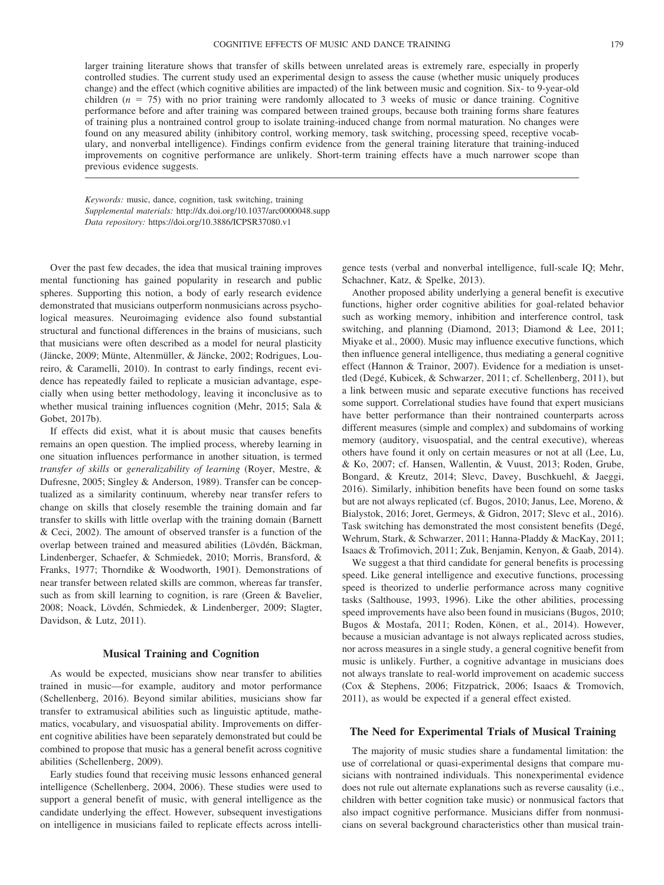larger training literature shows that transfer of skills between unrelated areas is extremely rare, especially in properly controlled studies. The current study used an experimental design to assess the cause (whether music uniquely produces change) and the effect (which cognitive abilities are impacted) of the link between music and cognition. Six- to 9-year-old children  $(n = 75)$  with no prior training were randomly allocated to 3 weeks of music or dance training. Cognitive performance before and after training was compared between trained groups, because both training forms share features of training plus a nontrained control group to isolate training-induced change from normal maturation. No changes were found on any measured ability (inhibitory control, working memory, task switching, processing speed, receptive vocabulary, and nonverbal intelligence). Findings confirm evidence from the general training literature that training-induced improvements on cognitive performance are unlikely. Short-term training effects have a much narrower scope than previous evidence suggests.

*Keywords:* music, dance, cognition, task switching, training *Supplemental materials:* http://dx.doi.org/10.1037/arc0000048.supp *Data repository:* [https://doi.org/10.3886/ICPSR37080.v1](http://doi.org/10.3886/ICPSR37080.v1)

Over the past few decades, the idea that musical training improves mental functioning has gained popularity in research and public spheres. Supporting this notion, a body of early research evidence demonstrated that musicians outperform nonmusicians across psychological measures. Neuroimaging evidence also found substantial structural and functional differences in the brains of musicians, such that musicians were often described as a model for neural plasticity [\(Jäncke, 2009;](#page-11-1) [Münte, Altenmüller, & Jäncke, 2002;](#page-12-0) [Rodrigues, Lou](#page-13-0)[reiro, & Caramelli, 2010\)](#page-13-0). In contrast to early findings, recent evidence has repeatedly failed to replicate a musician advantage, especially when using better methodology, leaving it inconclusive as to whether musical training influences cognition [\(Mehr, 2015;](#page-12-1) [Sala &](#page-13-1) [Gobet, 2017b\)](#page-13-1).

If effects did exist, what it is about music that causes benefits remains an open question. The implied process, whereby learning in one situation influences performance in another situation, is termed *transfer of skills* or *generalizability of learning* [\(Royer, Mestre, &](#page-13-2) [Dufresne, 2005;](#page-13-2) [Singley & Anderson, 1989\)](#page-13-3). Transfer can be conceptualized as a similarity continuum, whereby near transfer refers to change on skills that closely resemble the training domain and far transfer to skills with little overlap with the training domain [\(Barnett](#page-10-0) [& Ceci, 2002\)](#page-10-0). The amount of observed transfer is a function of the overlap between trained and measured abilities [\(Lövdén, Bäckman,](#page-12-2) [Lindenberger, Schaefer, & Schmiedek, 2010;](#page-12-2) [Morris, Bransford, &](#page-12-3) [Franks, 1977;](#page-12-3) [Thorndike & Woodworth, 1901\)](#page-13-4). Demonstrations of near transfer between related skills are common, whereas far transfer, such as from skill learning to cognition, is rare [\(Green & Bavelier,](#page-11-2) [2008;](#page-11-2) [Noack, Lövdén, Schmiedek, & Lindenberger, 2009;](#page-12-4) [Slagter,](#page-13-5) [Davidson, & Lutz, 2011\)](#page-13-5).

#### **Musical Training and Cognition**

As would be expected, musicians show near transfer to abilities trained in music—for example, auditory and motor performance [\(Schellenberg, 2016\)](#page-13-6). Beyond similar abilities, musicians show far transfer to extramusical abilities such as linguistic aptitude, mathematics, vocabulary, and visuospatial ability. Improvements on different cognitive abilities have been separately demonstrated but could be combined to propose that music has a general benefit across cognitive abilities [\(Schellenberg, 2009\)](#page-13-7).

Early studies found that receiving music lessons enhanced general intelligence [\(Schellenberg, 2004,](#page-13-8) [2006\)](#page-13-9). These studies were used to support a general benefit of music, with general intelligence as the candidate underlying the effect. However, subsequent investigations on intelligence in musicians failed to replicate effects across intelli-

gence tests (verbal and nonverbal intelligence, full-scale IQ; [Mehr,](#page-12-5) [Schachner, Katz, & Spelke, 2013\)](#page-12-5).

Another proposed ability underlying a general benefit is executive functions, higher order cognitive abilities for goal-related behavior such as working memory, inhibition and interference control, task switching, and planning [\(Diamond, 2013;](#page-11-3) [Diamond & Lee, 2011;](#page-11-4) [Miyake et al., 2000\)](#page-12-6). Music may influence executive functions, which then influence general intelligence, thus mediating a general cognitive effect [\(Hannon & Trainor, 2007\)](#page-11-5). Evidence for a mediation is unsettled [\(Degé, Kubicek, & Schwarzer, 2011;](#page-11-6) cf. [Schellenberg, 2011\)](#page-13-10), but a link between music and separate executive functions has received some support. Correlational studies have found that expert musicians have better performance than their nontrained counterparts across different measures (simple and complex) and subdomains of working memory (auditory, visuospatial, and the central executive), whereas others have found it only on certain measures or not at all [\(Lee, Lu,](#page-12-7) [& Ko, 2007;](#page-12-7) cf. [Hansen, Wallentin, & Vuust, 2013;](#page-11-7) [Roden, Grube,](#page-13-11) [Bongard, & Kreutz, 2014;](#page-13-11) [Slevc, Davey, Buschkuehl, & Jaeggi,](#page-13-12) [2016\)](#page-13-12). Similarly, inhibition benefits have been found on some tasks but are not always replicated (cf. [Bugos, 2010;](#page-10-1) [Janus, Lee, Moreno, &](#page-12-8) [Bialystok, 2016;](#page-12-8) [Joret, Germeys, & Gidron, 2017;](#page-12-9) [Slevc et al., 2016\)](#page-13-12). Task switching has demonstrated the most consistent benefits [\(Degé,](#page-11-8) [Wehrum, Stark, & Schwarzer, 2011;](#page-11-8) [Hanna-Pladdy & MacKay, 2011;](#page-11-9) [Isaacs & Trofimovich, 2011;](#page-11-10) [Zuk, Benjamin, Kenyon, & Gaab, 2014\)](#page-14-0).

We suggest a that third candidate for general benefits is processing speed. Like general intelligence and executive functions, processing speed is theorized to underlie performance across many cognitive tasks [\(Salthouse, 1993,](#page-13-13) [1996\)](#page-13-14). Like the other abilities, processing speed improvements have also been found in musicians [\(Bugos, 2010;](#page-10-1) [Bugos & Mostafa, 2011;](#page-10-2) [Roden, Könen, et al., 2014\)](#page-13-15). However, because a musician advantage is not always replicated across studies, nor across measures in a single study, a general cognitive benefit from music is unlikely. Further, a cognitive advantage in musicians does not always translate to real-world improvement on academic success [\(Cox & Stephens, 2006;](#page-11-11) [Fitzpatrick, 2006;](#page-11-12) [Isaacs & Tromovich,](#page-11-10) [2011\)](#page-11-10), as would be expected if a general effect existed.

# **The Need for Experimental Trials of Musical Training**

The majority of music studies share a fundamental limitation: the use of correlational or quasi-experimental designs that compare musicians with nontrained individuals. This nonexperimental evidence does not rule out alternate explanations such as reverse causality (i.e., children with better cognition take music) or nonmusical factors that also impact cognitive performance. Musicians differ from nonmusicians on several background characteristics other than musical train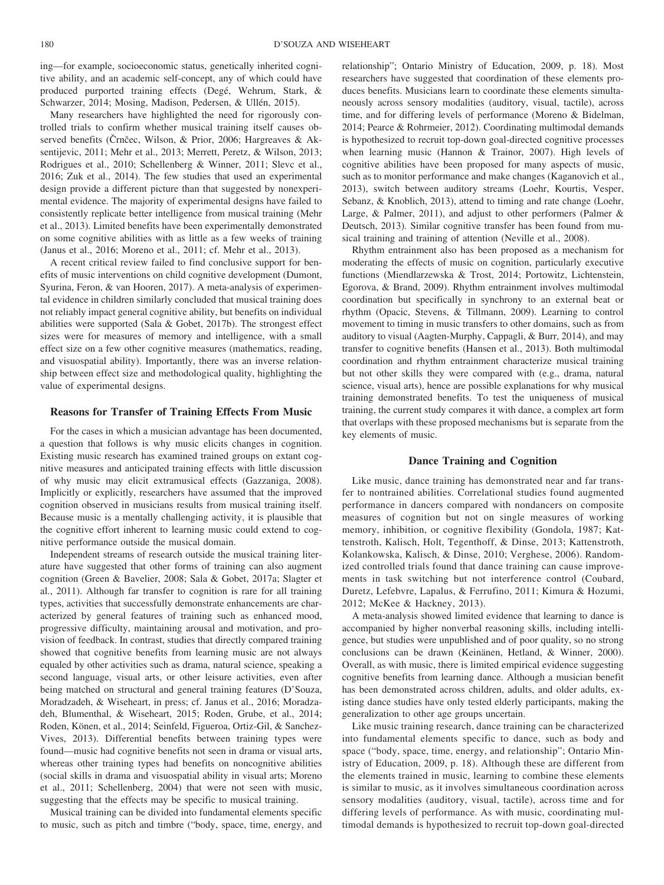ing—for example, socioeconomic status, genetically inherited cognitive ability, and an academic self-concept, any of which could have produced purported training effects [\(Degé, Wehrum, Stark, &](#page-11-13) [Schwarzer, 2014;](#page-11-13) [Mosing, Madison, Pedersen, & Ullén, 2015\)](#page-12-10).

Many researchers have highlighted the need for rigorously controlled trials to confirm whether musical training itself causes ob-served benefits (Črnčec, Wilson, & Prior, 2006; [Hargreaves & Ak](#page-11-15)[sentijevic, 2011;](#page-11-15) [Mehr et al., 2013;](#page-12-5) [Merrett, Peretz, & Wilson, 2013;](#page-12-11) [Rodrigues et al., 2010;](#page-13-0) [Schellenberg & Winner, 2011;](#page-13-16) [Slevc et al.,](#page-13-12) [2016;](#page-13-12) [Zuk et al., 2014\)](#page-14-0). The few studies that used an experimental design provide a different picture than that suggested by nonexperimental evidence. The majority of experimental designs have failed to consistently replicate better intelligence from musical training [\(Mehr](#page-12-5) [et al., 2013\)](#page-12-5). Limited benefits have been experimentally demonstrated on some cognitive abilities with as little as a few weeks of training [\(Janus et al., 2016;](#page-12-8) [Moreno et al., 2011;](#page-12-12) cf. [Mehr et al., 2013\)](#page-12-5).

A recent critical review failed to find conclusive support for benefits of music interventions on child cognitive development [\(Dumont,](#page-11-16) [Syurina, Feron, & van Hooren, 2017\)](#page-11-16). A meta-analysis of experimental evidence in children similarly concluded that musical training does not reliably impact general cognitive ability, but benefits on individual abilities were supported [\(Sala & Gobet, 2017b\)](#page-13-1). The strongest effect sizes were for measures of memory and intelligence, with a small effect size on a few other cognitive measures (mathematics, reading, and visuospatial ability). Importantly, there was an inverse relationship between effect size and methodological quality, highlighting the value of experimental designs.

# **Reasons for Transfer of Training Effects From Music**

For the cases in which a musician advantage has been documented, a question that follows is why music elicits changes in cognition. Existing music research has examined trained groups on extant cognitive measures and anticipated training effects with little discussion of why music may elicit extramusical effects [\(Gazzaniga, 2008\)](#page-11-17). Implicitly or explicitly, researchers have assumed that the improved cognition observed in musicians results from musical training itself. Because music is a mentally challenging activity, it is plausible that the cognitive effort inherent to learning music could extend to cognitive performance outside the musical domain.

Independent streams of research outside the musical training literature have suggested that other forms of training can also augment cognition [\(Green & Bavelier, 2008;](#page-11-2) [Sala & Gobet, 2017a;](#page-13-17) [Slagter et](#page-13-5) [al., 2011\)](#page-13-5). Although far transfer to cognition is rare for all training types, activities that successfully demonstrate enhancements are characterized by general features of training such as enhanced mood, progressive difficulty, maintaining arousal and motivation, and provision of feedback. In contrast, studies that directly compared training showed that cognitive benefits from learning music are not always equaled by other activities such as drama, natural science, speaking a second language, visual arts, or other leisure activities, even after being matched on structural and general training features [\(D'Souza,](#page-11-18) [Moradzadeh, & Wiseheart, in press;](#page-11-18) cf. [Janus et al., 2016;](#page-12-8) [Moradza](#page-12-13)[deh, Blumenthal, & Wiseheart, 2015;](#page-12-13) [Roden, Grube, et al., 2014;](#page-13-11) [Roden, Könen, et al., 2014;](#page-13-15) [Seinfeld, Figueroa, Ortiz-Gil, & Sanchez-](#page-13-18)[Vives, 2013\)](#page-13-18). Differential benefits between training types were found—music had cognitive benefits not seen in drama or visual arts, whereas other training types had benefits on noncognitive abilities (social skills in drama and visuospatial ability in visual arts; [Moreno](#page-12-12) [et al., 2011;](#page-12-12) [Schellenberg, 2004\)](#page-13-8) that were not seen with music, suggesting that the effects may be specific to musical training.

Musical training can be divided into fundamental elements specific to music, such as pitch and timbre ("body, space, time, energy, and relationship"; [Ontario Ministry of Education, 2009,](#page-12-14) p. 18). Most researchers have suggested that coordination of these elements produces benefits. Musicians learn to coordinate these elements simultaneously across sensory modalities (auditory, visual, tactile), across time, and for differing levels of performance [\(Moreno & Bidelman,](#page-12-15) [2014;](#page-12-15) [Pearce & Rohrmeier, 2012\)](#page-12-16). Coordinating multimodal demands is hypothesized to recruit top-down goal-directed cognitive processes when learning music [\(Hannon & Trainor, 2007\)](#page-11-5). High levels of cognitive abilities have been proposed for many aspects of music, such as to monitor performance and make changes [\(Kaganovich et al.,](#page-12-17) [2013\)](#page-12-17), switch between auditory streams [\(Loehr, Kourtis, Vesper,](#page-12-18) [Sebanz, & Knoblich, 2013\)](#page-12-18), attend to timing and rate change [\(Loehr,](#page-12-19) [Large, & Palmer, 2011\)](#page-12-19), and adjust to other performers [\(Palmer &](#page-12-20) [Deutsch, 2013\)](#page-12-20). Similar cognitive transfer has been found from musical training and training of attention [\(Neville et al., 2008\)](#page-12-21).

Rhythm entrainment also has been proposed as a mechanism for moderating the effects of music on cognition, particularly executive functions [\(Miendlarzewska & Trost, 2014;](#page-12-22) [Portowitz, Lichtenstein,](#page-12-23) [Egorova, & Brand, 2009\)](#page-12-23). Rhythm entrainment involves multimodal coordination but specifically in synchrony to an external beat or rhythm [\(Opacic, Stevens, & Tillmann, 2009\)](#page-12-24). Learning to control movement to timing in music transfers to other domains, such as from auditory to visual [\(Aagten-Murphy, Cappagli, & Burr, 2014\)](#page-10-3), and may transfer to cognitive benefits [\(Hansen et al., 2013\)](#page-11-7). Both multimodal coordination and rhythm entrainment characterize musical training but not other skills they were compared with (e.g., drama, natural science, visual arts), hence are possible explanations for why musical training demonstrated benefits. To test the uniqueness of musical training, the current study compares it with dance, a complex art form that overlaps with these proposed mechanisms but is separate from the key elements of music.

#### **Dance Training and Cognition**

Like music, dance training has demonstrated near and far transfer to nontrained abilities. Correlational studies found augmented performance in dancers compared with nondancers on composite measures of cognition but not on single measures of working memory, inhibition, or cognitive flexibility [\(Gondola, 1987;](#page-11-19) [Kat](#page-12-25)[tenstroth, Kalisch, Holt, Tegenthoff, & Dinse, 2013;](#page-12-25) [Kattenstroth,](#page-12-26) [Kolankowska, Kalisch, & Dinse, 2010;](#page-12-26) [Verghese, 2006\)](#page-13-19). Randomized controlled trials found that dance training can cause improvements in task switching but not interference control [\(Coubard,](#page-11-20) [Duretz, Lefebvre, Lapalus, & Ferrufino, 2011;](#page-11-20) [Kimura & Hozumi,](#page-12-27) [2012;](#page-12-27) [McKee & Hackney, 2013\)](#page-12-28).

A meta-analysis showed limited evidence that learning to dance is accompanied by higher nonverbal reasoning skills, including intelligence, but studies were unpublished and of poor quality, so no strong conclusions can be drawn [\(Keinänen, Hetland, & Winner, 2000\)](#page-12-29). Overall, as with music, there is limited empirical evidence suggesting cognitive benefits from learning dance. Although a musician benefit has been demonstrated across children, adults, and older adults, existing dance studies have only tested elderly participants, making the generalization to other age groups uncertain.

Like music training research, dance training can be characterized into fundamental elements specific to dance, such as body and space ("body, space, time, energy, and relationship"; [Ontario Min](#page-12-14)[istry of Education, 2009,](#page-12-14) p. 18). Although these are different from the elements trained in music, learning to combine these elements is similar to music, as it involves simultaneous coordination across sensory modalities (auditory, visual, tactile), across time and for differing levels of performance. As with music, coordinating multimodal demands is hypothesized to recruit top-down goal-directed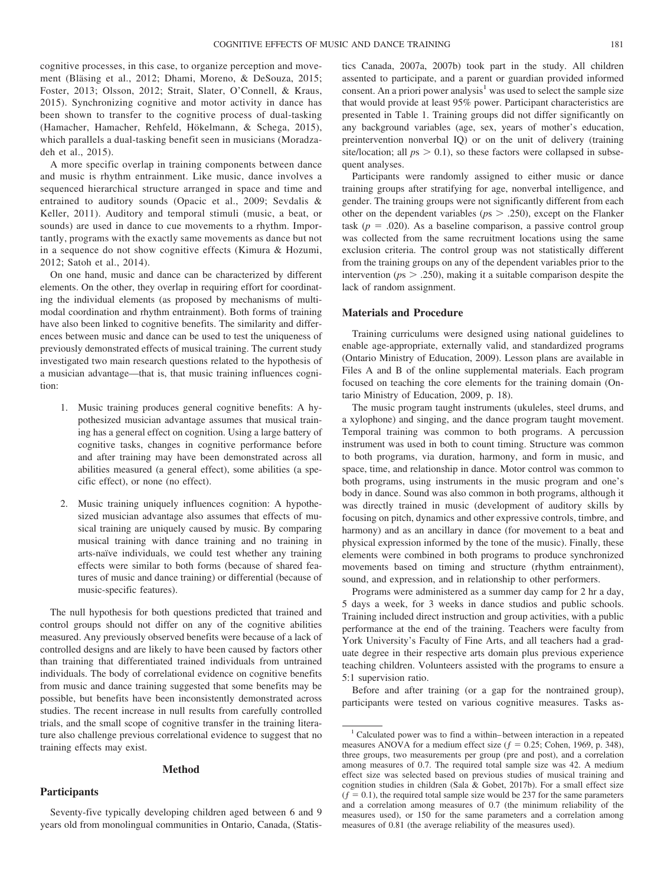cognitive processes, in this case, to organize perception and movement [\(Bläsing et al., 2012;](#page-10-4) [Dhami, Moreno, & DeSouza, 2015;](#page-11-21) [Foster, 2013;](#page-11-22) [Olsson, 2012;](#page-12-30) [Strait, Slater, O'Connell, & Kraus,](#page-13-20) [2015\)](#page-13-20). Synchronizing cognitive and motor activity in dance has been shown to transfer to the cognitive process of dual-tasking [\(Hamacher, Hamacher, Rehfeld, Hökelmann, & Schega, 2015\)](#page-11-23), which parallels a dual-tasking benefit seen in musicians [\(Moradza](#page-12-13)[deh et al., 2015\)](#page-12-13).

A more specific overlap in training components between dance and music is rhythm entrainment. Like music, dance involves a sequenced hierarchical structure arranged in space and time and entrained to auditory sounds [\(Opacic et al., 2009;](#page-12-24) [Sevdalis &](#page-13-21) [Keller, 2011\)](#page-13-21). Auditory and temporal stimuli (music, a beat, or sounds) are used in dance to cue movements to a rhythm. Importantly, programs with the exactly same movements as dance but not in a sequence do not show cognitive effects [\(Kimura & Hozumi,](#page-12-27) [2012;](#page-12-27) [Satoh et al., 2014\)](#page-13-22).

On one hand, music and dance can be characterized by different elements. On the other, they overlap in requiring effort for coordinating the individual elements (as proposed by mechanisms of multimodal coordination and rhythm entrainment). Both forms of training have also been linked to cognitive benefits. The similarity and differences between music and dance can be used to test the uniqueness of previously demonstrated effects of musical training. The current study investigated two main research questions related to the hypothesis of a musician advantage—that is, that music training influences cognition:

- 1. Music training produces general cognitive benefits: A hypothesized musician advantage assumes that musical training has a general effect on cognition. Using a large battery of cognitive tasks, changes in cognitive performance before and after training may have been demonstrated across all abilities measured (a general effect), some abilities (a specific effect), or none (no effect).
- 2. Music training uniquely influences cognition: A hypothesized musician advantage also assumes that effects of musical training are uniquely caused by music. By comparing musical training with dance training and no training in arts-naïve individuals, we could test whether any training effects were similar to both forms (because of shared features of music and dance training) or differential (because of music-specific features).

The null hypothesis for both questions predicted that trained and control groups should not differ on any of the cognitive abilities measured. Any previously observed benefits were because of a lack of controlled designs and are likely to have been caused by factors other than training that differentiated trained individuals from untrained individuals. The body of correlational evidence on cognitive benefits from music and dance training suggested that some benefits may be possible, but benefits have been inconsistently demonstrated across studies. The recent increase in null results from carefully controlled trials, and the small scope of cognitive transfer in the training literature also challenge previous correlational evidence to suggest that no training effects may exist.

#### **Method**

# **Participants**

Seventy-five typically developing children aged between 6 and 9 years old from monolingual communities in Ontario, Canada, [\(Statis-](#page-13-23)

[tics Canada, 2007a,](#page-13-23) [2007b\)](#page-13-24) took part in the study. All children assented to participate, and a parent or guardian provided informed consent. An a priori power analysis<sup>1</sup> was used to select the sample size that would provide at least 95% power. Participant characteristics are presented in [Table 1.](#page-4-0) Training groups did not differ significantly on any background variables (age, sex, years of mother's education, preintervention nonverbal IQ) or on the unit of delivery (training site/location; all  $ps > 0.1$ ), so these factors were collapsed in subsequent analyses.

Participants were randomly assigned to either music or dance training groups after stratifying for age, nonverbal intelligence, and gender. The training groups were not significantly different from each other on the dependent variables (*p*s .250), except on the Flanker task  $(p = .020)$ . As a baseline comparison, a passive control group was collected from the same recruitment locations using the same exclusion criteria. The control group was not statistically different from the training groups on any of the dependent variables prior to the intervention ( $p_s$   $>$  .250), making it a suitable comparison despite the lack of random assignment.

# **Materials and Procedure**

Training curriculums were designed using national guidelines to enable age-appropriate, externally valid, and standardized programs [\(Ontario Ministry of Education, 2009\)](#page-12-14). Lesson plans are available in Files A and B of the [online supplemental materials.](http://dx.doi.org/10.1037/arc0000048.supp) Each program focused on teaching the core elements for the training domain [\(On](#page-12-14)[tario Ministry of Education, 2009,](#page-12-14) p. 18).

The music program taught instruments (ukuleles, steel drums, and a xylophone) and singing, and the dance program taught movement. Temporal training was common to both programs. A percussion instrument was used in both to count timing. Structure was common to both programs, via duration, harmony, and form in music, and space, time, and relationship in dance. Motor control was common to both programs, using instruments in the music program and one's body in dance. Sound was also common in both programs, although it was directly trained in music (development of auditory skills by focusing on pitch, dynamics and other expressive controls, timbre, and harmony) and as an ancillary in dance (for movement to a beat and physical expression informed by the tone of the music). Finally, these elements were combined in both programs to produce synchronized movements based on timing and structure (rhythm entrainment), sound, and expression, and in relationship to other performers.

Programs were administered as a summer day camp for 2 hr a day, 5 days a week, for 3 weeks in dance studios and public schools. Training included direct instruction and group activities, with a public performance at the end of the training. Teachers were faculty from York University's Faculty of Fine Arts, and all teachers had a graduate degree in their respective arts domain plus previous experience teaching children. Volunteers assisted with the programs to ensure a 5:1 supervision ratio.

Before and after training (or a gap for the nontrained group), participants were tested on various cognitive measures. Tasks as-

<sup>1</sup> Calculated power was to find a within–between interaction in a repeated measures ANOVA for a medium effect size  $(f = 0.25; \text{ Cohen}, 1969, p. 348)$ , three groups, two measurements per group (pre and post), and a correlation among measures of 0.7. The required total sample size was 42. A medium effect size was selected based on previous studies of musical training and cognition studies in children (Sala  $\&$  Gobet, 2017b). For a small effect size  $(f = 0.1)$ , the required total sample size would be 237 for the same parameters and a correlation among measures of 0.7 (the minimum reliability of the measures used), or 150 for the same parameters and a correlation among measures of 0.81 (the average reliability of the measures used).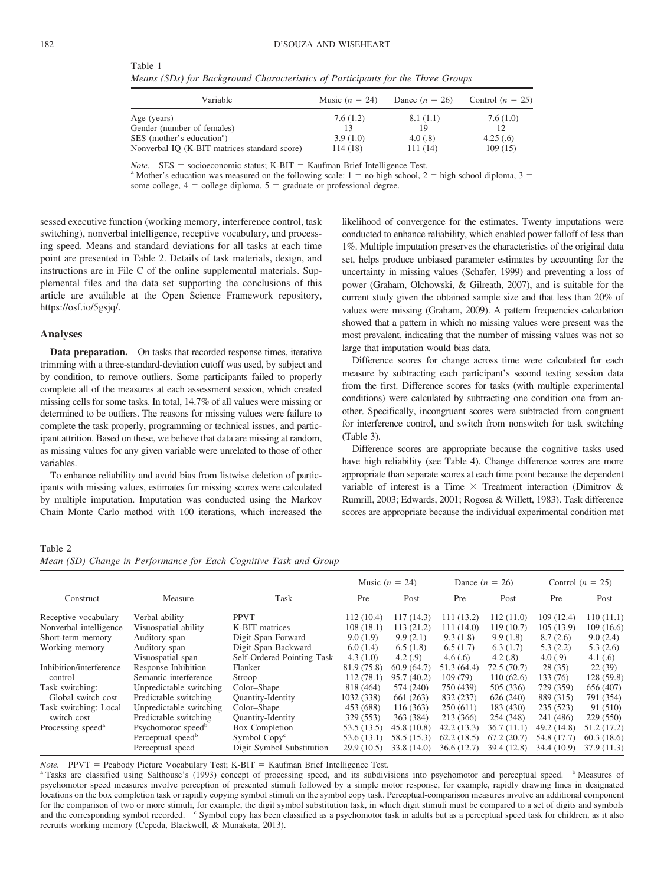<span id="page-4-0"></span>

| Table<br>.<br>٠<br>$\sim$ |  |  |  |
|---------------------------|--|--|--|
|                           |  |  |  |

*Means (SDs) for Background Characteristics of Participants for the Three Groups*

| Variable                                     | Music $(n = 24)$ | Dance $(n = 26)$ | Control $(n = 25)$ |
|----------------------------------------------|------------------|------------------|--------------------|
| Age (years)                                  | 7.6(1.2)         | 8.1(1.1)         | 7.6(1.0)           |
| Gender (number of females)                   | 13               | 19               | 12.                |
| SES (mother's education <sup>a</sup> )       | 3.9(1.0)         | 4.0(0.8)         | 4.25(.6)           |
| Nonverbal IQ (K-BIT matrices standard score) | 114 (18)         | 111(14)          | 109(15)            |

 $Note.$   $SES = socioeconomic status; K-BIT =$ 

*Note.* SES = socioeconomic status; K-BIT = Kaufman Brief Intelligence Test.<br><sup>a</sup> Mother's education was measured on the following scale: 1 = no high school, 2 = high school diploma, 3 = some college,  $4 =$  college diploma,  $5 =$  graduate or professional degree.

sessed executive function (working memory, interference control, task switching), nonverbal intelligence, receptive vocabulary, and processing speed. Means and standard deviations for all tasks at each time point are presented in [Table 2.](#page-4-1) Details of task materials, design, and instructions are in File C of the [online supplemental materials.](http://dx.doi.org/10.1037/arc0000048.supp) Supplemental files and the data set supporting the conclusions of this article are available at the Open Science Framework repository, [https://osf.io/5gsjq/.](http://osf.io/5gsjq/)

#### **Analyses**

**Data preparation.** On tasks that recorded response times, iterative trimming with a three-standard-deviation cutoff was used, by subject and by condition, to remove outliers. Some participants failed to properly complete all of the measures at each assessment session, which created missing cells for some tasks. In total, 14.7% of all values were missing or determined to be outliers. The reasons for missing values were failure to complete the task properly, programming or technical issues, and participant attrition. Based on these, we believe that data are missing at random, as missing values for any given variable were unrelated to those of other variables.

To enhance reliability and avoid bias from listwise deletion of participants with missing values, estimates for missing scores were calculated by multiple imputation. Imputation was conducted using the Markov Chain Monte Carlo method with 100 iterations, which increased the

likelihood of convergence for the estimates. Twenty imputations were conducted to enhance reliability, which enabled power falloff of less than 1%. Multiple imputation preserves the characteristics of the original data set, helps produce unbiased parameter estimates by accounting for the uncertainty in missing values [\(Schafer, 1999\)](#page-13-25) and preventing a loss of power [\(Graham, Olchowski, & Gilreath, 2007\)](#page-11-24), and is suitable for the current study given the obtained sample size and that less than 20% of values were missing [\(Graham, 2009\)](#page-11-25). A pattern frequencies calculation showed that a pattern in which no missing values were present was the most prevalent, indicating that the number of missing values was not so large that imputation would bias data.

Difference scores for change across time were calculated for each measure by subtracting each participant's second testing session data from the first. Difference scores for tasks (with multiple experimental conditions) were calculated by subtracting one condition one from another. Specifically, incongruent scores were subtracted from congruent for interference control, and switch from nonswitch for task switching [\(Table 3\)](#page-5-0).

Difference scores are appropriate because the cognitive tasks used have high reliability (see [Table 4\)](#page-6-0). Change difference scores are more appropriate than separate scores at each time point because the dependent variable of interest is a Time  $\times$  Treatment interaction [\(Dimitrov &](#page-11-26) [Rumrill, 2003;](#page-11-26) [Edwards, 2001;](#page-11-27) [Rogosa & Willett, 1983\)](#page-13-26). Task difference scores are appropriate because the individual experimental condition met

#### <span id="page-4-1"></span>Table 2 *Mean (SD) Change in Performance for Each Cognitive Task and Group*

|                                                                       |                                |                            | Music $(n = 24)$ |             | Dance $(n = 26)$ |             | Control $(n = 25)$ |             |
|-----------------------------------------------------------------------|--------------------------------|----------------------------|------------------|-------------|------------------|-------------|--------------------|-------------|
| Construct                                                             | Measure                        | Task                       | Pre              | Post        | Pre              | Post        | Pre                | Post        |
| Receptive vocabulary                                                  | Verbal ability                 | <b>PPVT</b>                | 112(10.4)        | 117(14.3)   | 111 (13.2)       | 112(11.0)   | 109(12.4)          | 110(11.1)   |
| Nonverbal intelligence                                                | Visuospatial ability           | K-BIT matrices             | 108(18.1)        | 113(21.2)   | 111 (14.0)       | 119(10.7)   | 105(13.9)          | 109(16.6)   |
| Short-term memory                                                     | Auditory span                  | Digit Span Forward         | 9.0(1.9)         | 9.9(2.1)    | 9.3(1.8)         | 9.9(1.8)    | 8.7(2.6)           | 9.0(2.4)    |
| Working memory<br>Auditory span                                       |                                | Digit Span Backward        | 6.0(1.4)         | 6.5(1.8)    | 6.5(1.7)         | 6.3(1.7)    | 5.3(2.2)           | 5.3(2.6)    |
|                                                                       | Visuospatial span              | Self-Ordered Pointing Task | 4.3(1.0)         | 4.2(.9)     | 4.6(.6)          | 4.2(.8)     | 4.0(0.9)           | 4.1(0.6)    |
| Inhibition/interference                                               | Response Inhibition            | Flanker                    | 81.9 (75.8)      | 60.9(64.7)  | 51.3 (64.4)      | 72.5(70.7)  | 28(35)             | 22(39)      |
| control                                                               | Semantic interference          | Stroop                     | 112(78.1)        | 95.7(40.2)  | 109(79)          | 110(62.6)   | 133 (76)           | 128 (59.8)  |
| Task switching:                                                       | Unpredictable switching        | Color-Shape                | 818 (464)        | 574 (240)   | 750 (439)        | 505 (336)   | 729 (359)          | 656 (407)   |
| Global switch cost                                                    | Predictable switching          | <b>Quantity-Identity</b>   | 1032 (338)       | 661 (263)   | 832 (237)        | 626(240)    | 889 (315)          | 791 (354)   |
| Task switching: Local<br>switch cost<br>Processing speed <sup>a</sup> | Unpredictable switching        | Color-Shape                | 453 (688)        | 116(363)    | 250(611)         | 183 (430)   | 235 (523)          | 91 (510)    |
|                                                                       | Predictable switching          | <b>Quantity-Identity</b>   | 329 (553)        | 363 (384)   | 213 (366)        | 254 (348)   | 241 (486)          | 229 (550)   |
|                                                                       | Psychomotor speed <sup>b</sup> | Box Completion             | 53.5(13.5)       | 45.8(10.8)  | 42.2(13.3)       | 36.7(11.1)  | 49.2 (14.8)        | 51.2 (17.2) |
|                                                                       | Perceptual speed <sup>b</sup>  | Symbol Copy <sup>c</sup>   | 53.6(13.1)       | 58.5 (15.3) | 62.2(18.5)       | 67.2(20.7)  | 54.8 (17.7)        | 60.3(18.6)  |
|                                                                       | Perceptual speed               | Digit Symbol Substitution  | 29.9(10.5)       | 33.8 (14.0) | 36.6(12.7)       | 39.4 (12.8) | 34.4 (10.9)        | 37.9(11.3)  |

*Note.* PPVT = Peabody Picture Vocabulary Test; K-BIT =

<sup>a</sup> Tasks are classified using [Salthouse's \(1993\)](#page-13-13) concept of processing speed, and its subdivisions into psychomotor and perceptual speed. <sup>b</sup> Measures of psychomotor speed measures involve perception of presented stimuli followed by a simple motor response, for example, rapidly drawing lines in designated locations on the box completion task or rapidly copying symbol stimuli on the symbol copy task. Perceptual-comparison measures involve an additional component for the comparison of two or more stimuli, for example, the digit symbol substitution task, in which digit stimuli must be compared to a set of digits and symbols and the corresponding symbol recorded. C Symbol copy has been classified as a psychomotor task in adults but as a perceptual speed task for children, as it also recruits working memory [\(Cepeda, Blackwell, & Munakata, 2013\)](#page-10-6).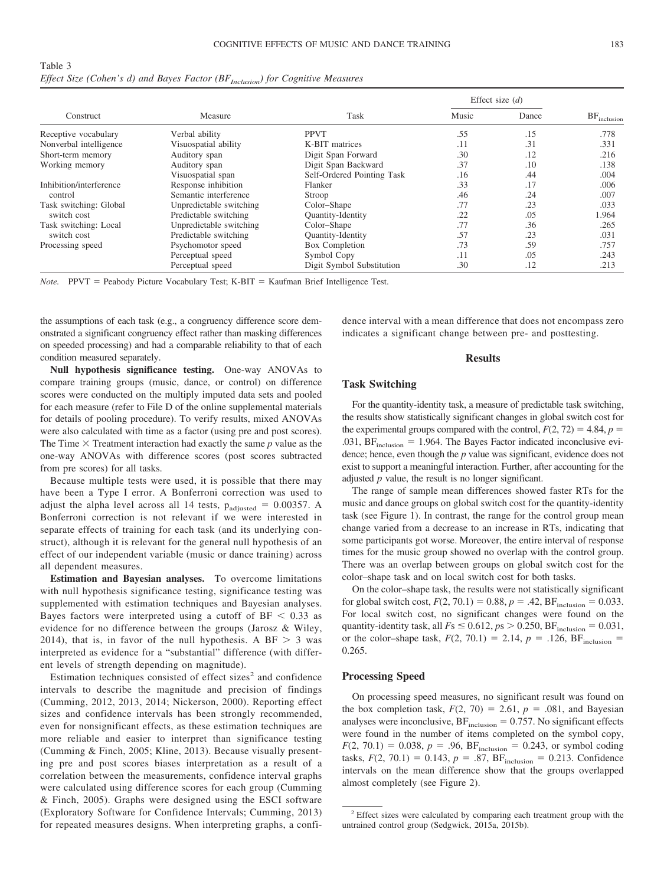<span id="page-5-0"></span>Table 3 *Effect Size (Cohen's d) and Bayes Factor (BF<sub>Inclusion</sub>) for Cognitive Measures* 

|                         |                         |                            | Effect size $(d)$ |     | $BF_{\text{inclusion}}$ |
|-------------------------|-------------------------|----------------------------|-------------------|-----|-------------------------|
| Construct               | Measure                 | Task                       | Music<br>Dance    |     |                         |
| Receptive vocabulary    | Verbal ability          | <b>PPVT</b>                | .55               | .15 | .778                    |
| Nonverbal intelligence  | Visuospatial ability    | K-BIT matrices             | .11               | .31 | .331                    |
| Short-term memory       | Auditory span           | Digit Span Forward         | .30               | .12 | .216                    |
| Working memory          | Auditory span           | Digit Span Backward        | .37               | .10 | .138                    |
|                         | Visuospatial span       | Self-Ordered Pointing Task | .16               | .44 | .004                    |
| Inhibition/interference | Response inhibition     | Flanker                    | .33               | .17 | .006                    |
| control                 | Semantic interference   | Stroop                     | .46               | .24 | .007                    |
| Task switching: Global  | Unpredictable switching | Color–Shape                | .77               | .23 | .033                    |
| switch cost             | Predictable switching   | <b>Quantity-Identity</b>   | .22               | .05 | 1.964                   |
| Task switching: Local   | Unpredictable switching | Color-Shape                | .77               | .36 | .265                    |
| switch cost             | Predictable switching   | Quantity-Identity          | .57               | .23 | .031                    |
| Processing speed        | Psychomotor speed       | Box Completion             | .73               | .59 | .757                    |
|                         | Perceptual speed        | Symbol Copy                | .11               | .05 | .243                    |
|                         | Perceptual speed        | Digit Symbol Substitution  | .30               | .12 | .213                    |

Note. PPVT = Peabody Picture Vocabulary Test; K-BIT = Kaufman Brief Intelligence Test.

the assumptions of each task (e.g., a congruency difference score demonstrated a significant congruency effect rather than masking differences on speeded processing) and had a comparable reliability to that of each condition measured separately.

**Null hypothesis significance testing.** One-way ANOVAs to compare training groups (music, dance, or control) on difference scores were conducted on the multiply imputed data sets and pooled for each measure (refer to File D of the [online supplemental materials](http://dx.doi.org/10.1037/arc0000048.supp) for details of pooling procedure). To verify results, mixed ANOVAs were also calculated with time as a factor (using pre and post scores). The Time  $\times$  Treatment interaction had exactly the same  $p$  value as the one-way ANOVAs with difference scores (post scores subtracted from pre scores) for all tasks.

Because multiple tests were used, it is possible that there may have been a Type I error. A Bonferroni correction was used to adjust the alpha level across all 14 tests,  $p_{\text{adjusted}} = 0.00357$ . A Bonferroni correction is not relevant if we were interested in separate effects of training for each task (and its underlying construct), although it is relevant for the general null hypothesis of an effect of our independent variable (music or dance training) across all dependent measures.

**Estimation and Bayesian analyses.** To overcome limitations with null hypothesis significance testing, significance testing was supplemented with estimation techniques and Bayesian analyses. Bayes factors were interpreted using a cutoff of  $BF < 0.33$  as evidence for no difference between the groups [\(Jarosz & Wiley,](#page-12-31) [2014\)](#page-12-31), that is, in favor of the null hypothesis. A BF  $> 3$  was interpreted as evidence for a "substantial" difference (with different levels of strength depending on magnitude).

Estimation techniques consisted of effect sizes<sup>2</sup> and confidence intervals to describe the magnitude and precision of findings [\(Cumming, 2012,](#page-11-28) [2013,](#page-11-29) [2014;](#page-11-30) [Nickerson, 2000\)](#page-12-32). Reporting effect sizes and confidence intervals has been strongly recommended, even for nonsignificant effects, as these estimation techniques are more reliable and easier to interpret than significance testing [\(Cumming & Finch, 2005;](#page-11-31) [Kline, 2013\)](#page-12-33). Because visually presenting pre and post scores biases interpretation as a result of a correlation between the measurements, confidence interval graphs were calculated using difference scores for each group [\(Cumming](#page-11-31) [& Finch, 2005\)](#page-11-31). Graphs were designed using the ESCI software (Exploratory Software for Confidence Intervals; [Cumming, 2013\)](#page-11-29) for repeated measures designs. When interpreting graphs, a confidence interval with a mean difference that does not encompass zero indicates a significant change between pre- and posttesting.

#### **Results**

#### **Task Switching**

For the quantity-identity task, a measure of predictable task switching, the results show statistically significant changes in global switch cost for the experimental groups compared with the control,  $F(2, 72) = 4.84$ ,  $p =$ .031,  $BF_{\text{inclusion}} = 1.964$ . The Bayes Factor indicated inconclusive evidence; hence, even though the *p* value was significant, evidence does not exist to support a meaningful interaction. Further, after accounting for the adjusted *p* value, the result is no longer significant.

The range of sample mean differences showed faster RTs for the music and dance groups on global switch cost for the quantity-identity task (see [Figure 1\)](#page-7-0). In contrast, the range for the control group mean change varied from a decrease to an increase in RTs, indicating that some participants got worse. Moreover, the entire interval of response times for the music group showed no overlap with the control group. There was an overlap between groups on global switch cost for the color–shape task and on local switch cost for both tasks.

On the color–shape task, the results were not statistically significant for global switch cost,  $F(2, 70.1) = 0.88$ ,  $p = .42$ ,  $BF_{\text{inclusion}} = 0.033$ . For local switch cost, no significant changes were found on the quantity-identity task, all  $Fs \le 0.612, ps > 0.250, BF_{\text{inclusion}} = 0.031,$ or the color-shape task,  $F(2, 70.1) = 2.14$ ,  $p = .126$ ,  $BF_{\text{inclusion}} =$ 0.265.

#### **Processing Speed**

On processing speed measures, no significant result was found on the box completion task,  $F(2, 70) = 2.61$ ,  $p = .081$ , and Bayesian analyses were inconclusive,  $BF_{\text{inclusion}} = 0.757$ . No significant effects were found in the number of items completed on the symbol copy,  $F(2, 70.1) = 0.038, p = .96, BF_{\text{inclusion}} = 0.243, \text{ or symbol coding}$ tasks,  $F(2, 70.1) = 0.143$ ,  $p = .87$ ,  $BF_{\text{inclusion}} = 0.213$ . Confidence intervals on the mean difference show that the groups overlapped almost completely (see [Figure 2\)](#page-8-0).

<sup>&</sup>lt;sup>2</sup> Effect sizes were calculated by comparing each treatment group with the untrained control group [\(Sedgwick, 2015a,](#page-13-27) [2015b\)](#page-13-28).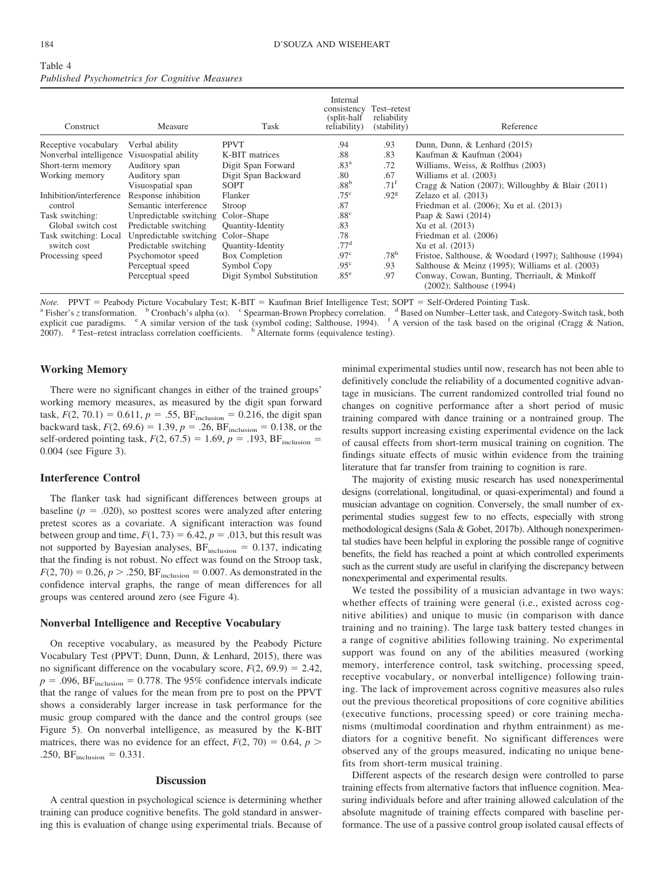<span id="page-6-0"></span>

| Table 4 |                                                       |  |  |
|---------|-------------------------------------------------------|--|--|
|         | <b>Published Psychometrics for Cognitive Measures</b> |  |  |

| Construct               | Measure                 | Task                      | Internal<br>consistency<br>(split-half)<br>reliability) | Test-retest<br>reliability<br>(stability) | Reference                                                                 |
|-------------------------|-------------------------|---------------------------|---------------------------------------------------------|-------------------------------------------|---------------------------------------------------------------------------|
| Receptive vocabulary    | Verbal ability          | <b>PPVT</b>               | .94                                                     | .93                                       | Dunn, Dunn, & Lenhard (2015)                                              |
| Nonverbal intelligence  | Visuospatial ability    | K-BIT matrices            | .88                                                     | .83                                       | Kaufman & Kaufman (2004)                                                  |
| Short-term memory       | Auditory span           | Digit Span Forward        | .83 <sup>a</sup>                                        | .72                                       | Williams, Weiss, & Rolfhus (2003)                                         |
| Working memory          | Auditory span           | Digit Span Backward       | .80                                                     | .67                                       | Williams et al. (2003)                                                    |
|                         | Visuospatial span       | <b>SOPT</b>               | .88 <sup>b</sup>                                        | $.71^{\rm f}$                             | Cragg & Nation (2007); Willoughby & Blair (2011)                          |
| Inhibition/interference | Response inhibition     | Flanker                   | .75 <sup>c</sup>                                        | .92 <sup>g</sup>                          | Zelazo et al. $(2013)$                                                    |
| control                 | Semantic interference   | Stroop                    | .87                                                     |                                           | Friedman et al. (2006); Xu et al. (2013)                                  |
| Task switching:         | Unpredictable switching | Color-Shape               | .88 <sup>c</sup>                                        |                                           | Paap & Sawi (2014)                                                        |
| Global switch cost      | Predictable switching   | Quantity-Identity         | .83                                                     |                                           | Xu et al. (2013)                                                          |
| Task switching: Local   | Unpredictable switching | Color-Shape               | .78                                                     |                                           | Friedman et al. (2006)                                                    |
| switch cost             | Predictable switching   | <b>Quantity-Identity</b>  | .77 <sup>d</sup>                                        |                                           | Xu et al. (2013)                                                          |
| Processing speed        | Psychomotor speed       | Box Completion            | .97 <sup>c</sup>                                        | .78 <sup>h</sup>                          | Fristoe, Salthouse, & Woodard (1997); Salthouse (1994)                    |
|                         | Perceptual speed        | Symbol Copy               | .95 <sup>c</sup>                                        | .93                                       | Salthouse & Meinz $(1995)$ ; Williams et al. $(2003)$                     |
|                         | Perceptual speed        | Digit Symbol Substitution | .85 <sup>e</sup>                                        | .97                                       | Conway, Cowan, Bunting, Therriault, & Minkoff<br>(2002); Salthouse (1994) |

*Note.* PPVT = Peabody Picture Vocabulary Test; K-BIT = Kaufman Brief Intelligence Test; SOPT =

Note. PPVT = Peabody Picture Vocabulary Test; K-BIT = Kaufman Brief Intelligence Test; SOPT = Self-Ordered Pointing Task.<br><sup>a</sup> Fisher's *z* transformation. b Cronbach's alpha (α). c Spearman-Brown Prophecy correlation. d B explicit cue paradigms. <sup>e</sup> A similar version of the task (symbol coding; [Salthouse, 1994\)](#page-13-30). <sup>f</sup> A version of the task based on the original [\(Cragg & Nation,](#page-11-33) [2007\)](#page-11-33). <sup>g</sup> Test–retest intraclass correlation coefficients. <sup>h</sup> Alternate forms (equivalence testing).

# **Working Memory**

There were no significant changes in either of the trained groups' working memory measures, as measured by the digit span forward task,  $F(2, 70.1) = 0.611$ ,  $p = .55$ ,  $BF_{\text{inclusion}} = 0.216$ , the digit span backward task,  $F(2, 69.6) = 1.39$ ,  $p = .26$ ,  $BF_{\text{inclusion}} = 0.138$ , or the self-ordered pointing task,  $F(2, 67.5) = 1.69$ ,  $p = .193$ , BF<sub>inclusion</sub> = 0.004 (see [Figure 3\)](#page-8-1).

# **Interference Control**

The flanker task had significant differences between groups at baseline  $(p = .020)$ , so posttest scores were analyzed after entering pretest scores as a covariate. A significant interaction was found between group and time,  $F(1, 73) = 6.42$ ,  $p = .013$ , but this result was not supported by Bayesian analyses,  $BF_{\text{inclusion}} = 0.137$ , indicating that the finding is not robust. No effect was found on the Stroop task,  $F(2, 70) = 0.26, p > .250, BF_{\text{inclusion}} = 0.007$ . As demonstrated in the confidence interval graphs, the range of mean differences for all groups was centered around zero (see [Figure 4\)](#page-9-0).

#### **Nonverbal Intelligence and Receptive Vocabulary**

On receptive vocabulary, as measured by the Peabody Picture Vocabulary Test (PPVT; [Dunn, Dunn, & Lenhard, 2015\)](#page-11-32), there was no significant difference on the vocabulary score,  $F(2, 69.9) = 2.42$ ,  $p = .096$ , BF<sub>inclusion</sub> = 0.778. The 95% confidence intervals indicate that the range of values for the mean from pre to post on the PPVT shows a considerably larger increase in task performance for the music group compared with the dance and the control groups (see [Figure 5\)](#page-9-1). On nonverbal intelligence, as measured by the K-BIT matrices, there was no evidence for an effect,  $F(2, 70) = 0.64$ ,  $p >$ .250,  $BF_{\text{inclusion}} = 0.331$ .

#### **Discussion**

A central question in psychological science is determining whether training can produce cognitive benefits. The gold standard in answering this is evaluation of change using experimental trials. Because of

minimal experimental studies until now, research has not been able to definitively conclude the reliability of a documented cognitive advantage in musicians. The current randomized controlled trial found no changes on cognitive performance after a short period of music training compared with dance training or a nontrained group. The results support increasing existing experimental evidence on the lack of causal effects from short-term musical training on cognition. The findings situate effects of music within evidence from the training literature that far transfer from training to cognition is rare.

The majority of existing music research has used nonexperimental designs (correlational, longitudinal, or quasi-experimental) and found a musician advantage on cognition. Conversely, the small number of experimental studies suggest few to no effects, especially with strong methodological designs [\(Sala & Gobet, 2017b\)](#page-13-1). Although nonexperimental studies have been helpful in exploring the possible range of cognitive benefits, the field has reached a point at which controlled experiments such as the current study are useful in clarifying the discrepancy between nonexperimental and experimental results.

We tested the possibility of a musician advantage in two ways: whether effects of training were general (i.e., existed across cognitive abilities) and unique to music (in comparison with dance training and no training). The large task battery tested changes in a range of cognitive abilities following training. No experimental support was found on any of the abilities measured (working memory, interference control, task switching, processing speed, receptive vocabulary, or nonverbal intelligence) following training. The lack of improvement across cognitive measures also rules out the previous theoretical propositions of core cognitive abilities (executive functions, processing speed) or core training mechanisms (multimodal coordination and rhythm entrainment) as mediators for a cognitive benefit. No significant differences were observed any of the groups measured, indicating no unique benefits from short-term musical training.

Different aspects of the research design were controlled to parse training effects from alternative factors that influence cognition. Measuring individuals before and after training allowed calculation of the absolute magnitude of training effects compared with baseline performance. The use of a passive control group isolated causal effects of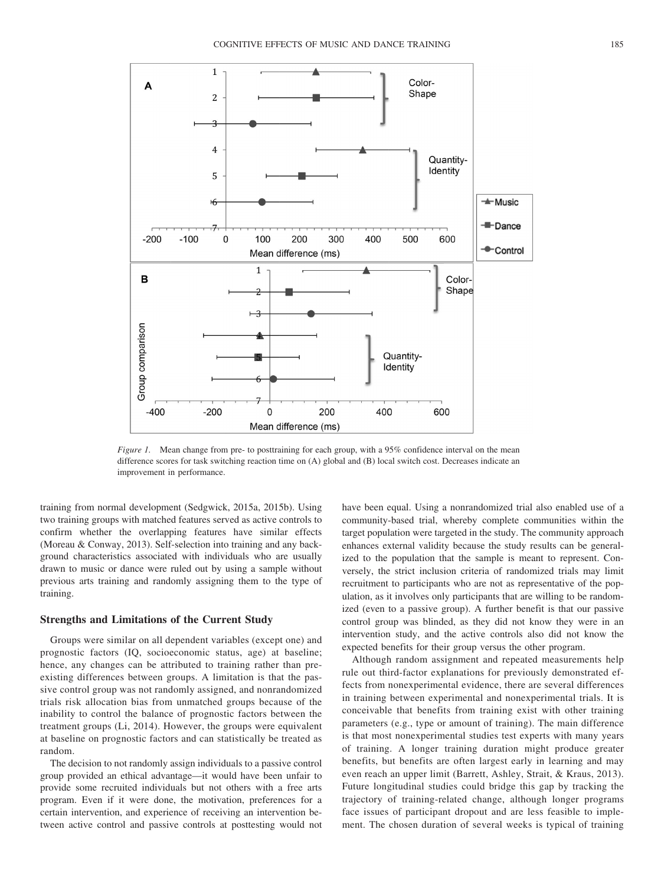

<span id="page-7-0"></span>*Figure 1.* Mean change from pre- to posttraining for each group, with a 95% confidence interval on the mean difference scores for task switching reaction time on (A) global and (B) local switch cost. Decreases indicate an improvement in performance.

training from normal development [\(Sedgwick, 2015a,](#page-13-27) [2015b\)](#page-13-28). Using two training groups with matched features served as active controls to confirm whether the overlapping features have similar effects [\(Moreau & Conway, 2013\)](#page-12-36). Self-selection into training and any background characteristics associated with individuals who are usually drawn to music or dance were ruled out by using a sample without previous arts training and randomly assigning them to the type of training.

#### **Strengths and Limitations of the Current Study**

Groups were similar on all dependent variables (except one) and prognostic factors (IQ, socioeconomic status, age) at baseline; hence, any changes can be attributed to training rather than preexisting differences between groups. A limitation is that the passive control group was not randomly assigned, and nonrandomized trials risk allocation bias from unmatched groups because of the inability to control the balance of prognostic factors between the treatment groups [\(Li, 2014\)](#page-12-37). However, the groups were equivalent at baseline on prognostic factors and can statistically be treated as random.

The decision to not randomly assign individuals to a passive control group provided an ethical advantage—it would have been unfair to provide some recruited individuals but not others with a free arts program. Even if it were done, the motivation, preferences for a certain intervention, and experience of receiving an intervention between active control and passive controls at posttesting would not have been equal. Using a nonrandomized trial also enabled use of a community-based trial, whereby complete communities within the target population were targeted in the study. The community approach enhances external validity because the study results can be generalized to the population that the sample is meant to represent. Conversely, the strict inclusion criteria of randomized trials may limit recruitment to participants who are not as representative of the population, as it involves only participants that are willing to be randomized (even to a passive group). A further benefit is that our passive control group was blinded, as they did not know they were in an intervention study, and the active controls also did not know the expected benefits for their group versus the other program.

Although random assignment and repeated measurements help rule out third-factor explanations for previously demonstrated effects from nonexperimental evidence, there are several differences in training between experimental and nonexperimental trials. It is conceivable that benefits from training exist with other training parameters (e.g., type or amount of training). The main difference is that most nonexperimental studies test experts with many years of training. A longer training duration might produce greater benefits, but benefits are often largest early in learning and may even reach an upper limit [\(Barrett, Ashley, Strait, & Kraus, 2013\)](#page-10-7). Future longitudinal studies could bridge this gap by tracking the trajectory of training-related change, although longer programs face issues of participant dropout and are less feasible to implement. The chosen duration of several weeks is typical of training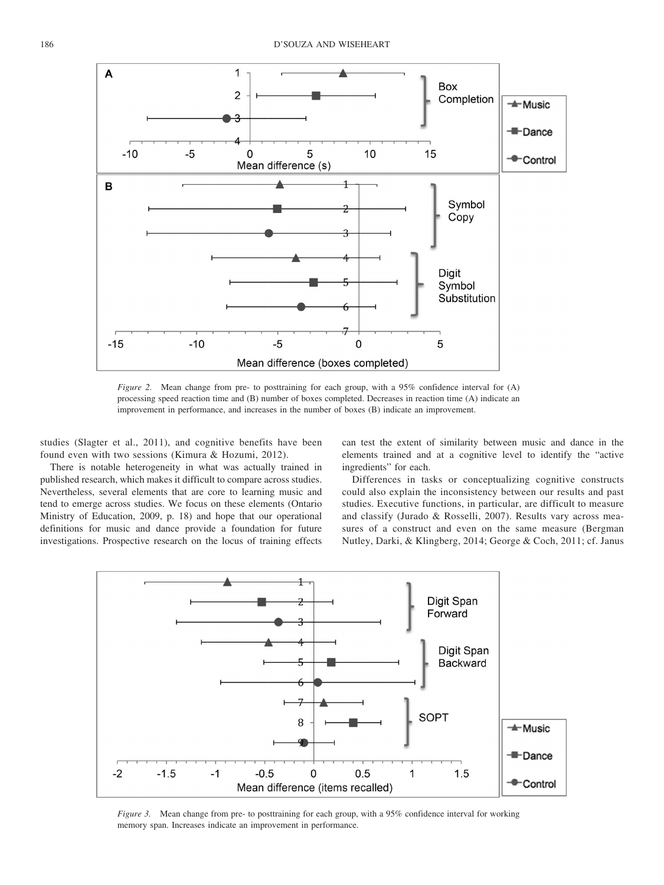

<span id="page-8-0"></span>*Figure 2.* Mean change from pre- to posttraining for each group, with a 95% confidence interval for (A) processing speed reaction time and (B) number of boxes completed. Decreases in reaction time (A) indicate an improvement in performance, and increases in the number of boxes (B) indicate an improvement.

studies [\(Slagter et al., 2011\)](#page-13-5), and cognitive benefits have been found even with two sessions [\(Kimura & Hozumi, 2012\)](#page-12-27).

There is notable heterogeneity in what was actually trained in published research, which makes it difficult to compare across studies. Nevertheless, several elements that are core to learning music and tend to emerge across studies. We focus on these elements [\(Ontario](#page-12-14) [Ministry of Education, 2009,](#page-12-14) p. 18) and hope that our operational definitions for music and dance provide a foundation for future investigations. Prospective research on the locus of training effects

can test the extent of similarity between music and dance in the elements trained and at a cognitive level to identify the "active ingredients" for each.

Differences in tasks or conceptualizing cognitive constructs could also explain the inconsistency between our results and past studies. Executive functions, in particular, are difficult to measure and classify [\(Jurado & Rosselli, 2007\)](#page-12-38). Results vary across measures of a construct and even on the same measure [\(Bergman](#page-10-8) [Nutley, Darki, & Klingberg, 2014;](#page-10-8) [George & Coch, 2011;](#page-11-37) cf. [Janus](#page-12-8)



<span id="page-8-1"></span>*Figure 3.* Mean change from pre- to posttraining for each group, with a 95% confidence interval for working memory span. Increases indicate an improvement in performance.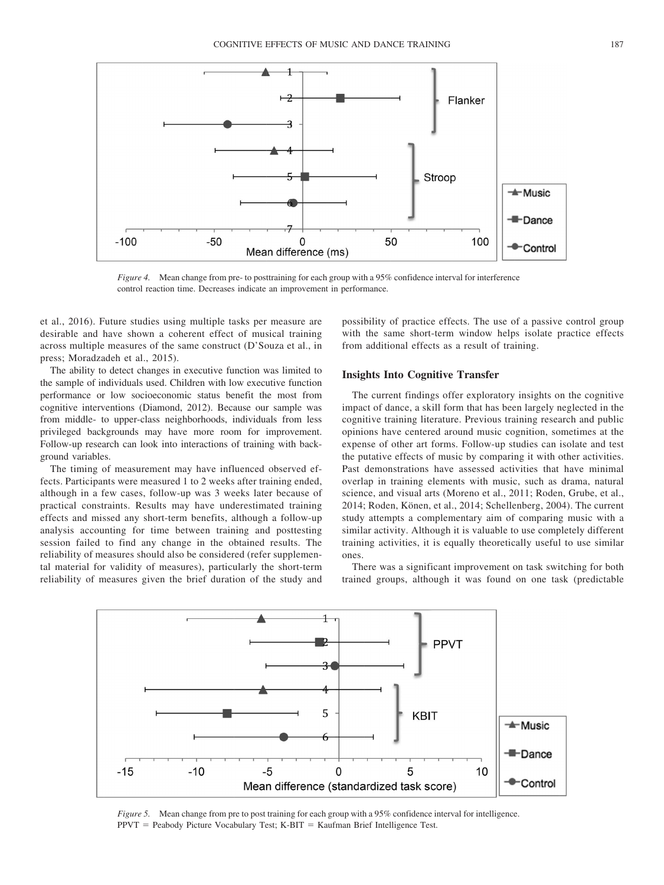

<span id="page-9-0"></span>*Figure 4.* Mean change from pre- to posttraining for each group with a 95% confidence interval for interference control reaction time. Decreases indicate an improvement in performance.

[et al., 2016\)](#page-12-8). Future studies using multiple tasks per measure are desirable and have shown a coherent effect of musical training across multiple measures of the same construct [\(D'Souza et al., in](#page-11-18) [press;](#page-11-18) [Moradzadeh et al., 2015\)](#page-12-13).

The ability to detect changes in executive function was limited to the sample of individuals used. Children with low executive function performance or low socioeconomic status benefit the most from cognitive interventions [\(Diamond, 2012\)](#page-11-38). Because our sample was from middle- to upper-class neighborhoods, individuals from less privileged backgrounds may have more room for improvement. Follow-up research can look into interactions of training with background variables.

The timing of measurement may have influenced observed effects. Participants were measured 1 to 2 weeks after training ended, although in a few cases, follow-up was 3 weeks later because of practical constraints. Results may have underestimated training effects and missed any short-term benefits, although a follow-up analysis accounting for time between training and posttesting session failed to find any change in the obtained results. The reliability of measures should also be considered (refer supplemental material for validity of measures), particularly the short-term reliability of measures given the brief duration of the study and

possibility of practice effects. The use of a passive control group with the same short-term window helps isolate practice effects from additional effects as a result of training.

# **Insights Into Cognitive Transfer**

The current findings offer exploratory insights on the cognitive impact of dance, a skill form that has been largely neglected in the cognitive training literature. Previous training research and public opinions have centered around music cognition, sometimes at the expense of other art forms. Follow-up studies can isolate and test the putative effects of music by comparing it with other activities. Past demonstrations have assessed activities that have minimal overlap in training elements with music, such as drama, natural science, and visual arts [\(Moreno et al., 2011;](#page-12-12) [Roden, Grube, et al.,](#page-13-11) [2014;](#page-13-11) [Roden, Könen, et al., 2014;](#page-13-15) [Schellenberg, 2004\)](#page-13-8). The current study attempts a complementary aim of comparing music with a similar activity. Although it is valuable to use completely different training activities, it is equally theoretically useful to use similar ones.

There was a significant improvement on task switching for both trained groups, although it was found on one task (predictable



<span id="page-9-1"></span>*Figure 5.* Mean change from pre to post training for each group with a 95% confidence interval for intelligence.  $PPVT =$  Peabody Picture Vocabulary Test;  $K-BIT =$  Kaufman Brief Intelligence Test.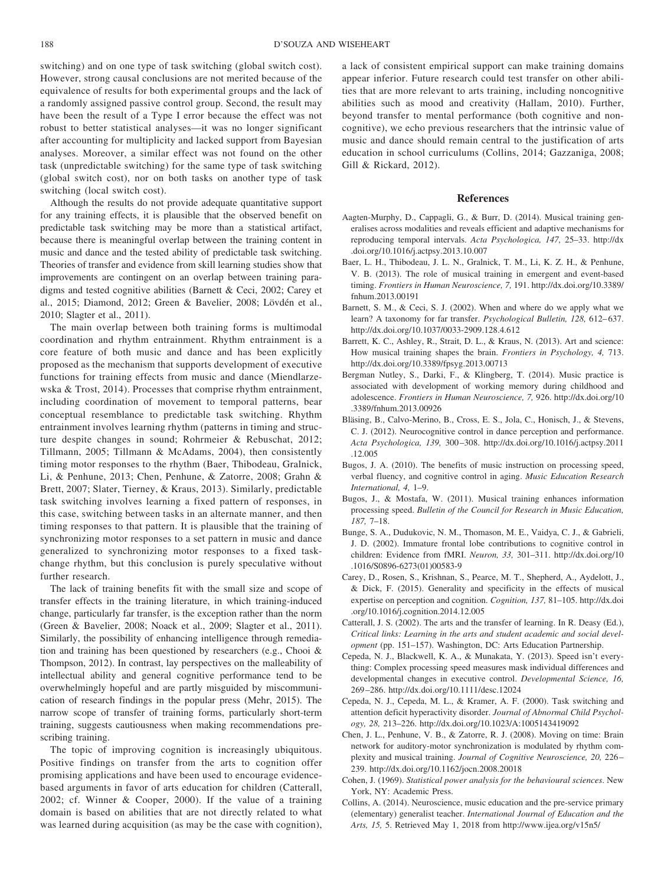switching) and on one type of task switching (global switch cost). However, strong causal conclusions are not merited because of the equivalence of results for both experimental groups and the lack of a randomly assigned passive control group. Second, the result may have been the result of a Type I error because the effect was not robust to better statistical analyses—it was no longer significant after accounting for multiplicity and lacked support from Bayesian analyses. Moreover, a similar effect was not found on the other task (unpredictable switching) for the same type of task switching (global switch cost), nor on both tasks on another type of task switching (local switch cost).

Although the results do not provide adequate quantitative support for any training effects, it is plausible that the observed benefit on predictable task switching may be more than a statistical artifact, because there is meaningful overlap between the training content in music and dance and the tested ability of predictable task switching. Theories of transfer and evidence from skill learning studies show that improvements are contingent on an overlap between training paradigms and tested cognitive abilities [\(Barnett & Ceci, 2002;](#page-10-0) [Carey et](#page-10-9) [al., 2015;](#page-10-9) [Diamond, 2012;](#page-11-38) [Green & Bavelier, 2008;](#page-11-2) [Lövdén et al.,](#page-12-2) [2010;](#page-12-2) [Slagter et al., 2011\)](#page-13-5).

The main overlap between both training forms is multimodal coordination and rhythm entrainment. Rhythm entrainment is a core feature of both music and dance and has been explicitly proposed as the mechanism that supports development of executive functions for training effects from music and dance [\(Miendlarze](#page-12-22)[wska & Trost, 2014\)](#page-12-22). Processes that comprise rhythm entrainment, including coordination of movement to temporal patterns, bear conceptual resemblance to predictable task switching. Rhythm entrainment involves learning rhythm (patterns in timing and structure despite changes in sound; [Rohrmeier & Rebuschat, 2012;](#page-13-32) [Tillmann, 2005;](#page-13-33) [Tillmann & McAdams, 2004\)](#page-13-34), then consistently timing motor responses to the rhythm [\(Baer, Thibodeau, Gralnick,](#page-10-3) [Li, & Penhune, 2013;](#page-10-3) [Chen, Penhune, & Zatorre, 2008;](#page-10-10) [Grahn &](#page-11-39) [Brett, 2007;](#page-11-39) [Slater, Tierney, & Kraus, 2013\)](#page-13-35). Similarly, predictable task switching involves learning a fixed pattern of responses, in this case, switching between tasks in an alternate manner, and then timing responses to that pattern. It is plausible that the training of synchronizing motor responses to a set pattern in music and dance generalized to synchronizing motor responses to a fixed taskchange rhythm, but this conclusion is purely speculative without further research.

The lack of training benefits fit with the small size and scope of transfer effects in the training literature, in which training-induced change, particularly far transfer, is the exception rather than the norm [\(Green & Bavelier, 2008;](#page-11-2) [Noack et al., 2009;](#page-12-4) [Slagter et al., 2011\)](#page-13-5). Similarly, the possibility of enhancing intelligence through remediation and training has been questioned by researchers (e.g., [Chooi &](#page-11-40) [Thompson, 2012\)](#page-11-40). In contrast, lay perspectives on the malleability of intellectual ability and general cognitive performance tend to be overwhelmingly hopeful and are partly misguided by miscommunication of research findings in the popular press [\(Mehr, 2015\)](#page-12-1). The narrow scope of transfer of training forms, particularly short-term training, suggests cautiousness when making recommendations prescribing training.

The topic of improving cognition is increasingly ubiquitous. Positive findings on transfer from the arts to cognition offer promising applications and have been used to encourage evidencebased arguments in favor of arts education for children [\(Catterall,](#page-10-11) [2002;](#page-10-11) cf. [Winner & Cooper, 2000\)](#page-14-4). If the value of a training domain is based on abilities that are not directly related to what was learned during acquisition (as may be the case with cognition),

a lack of consistent empirical support can make training domains appear inferior. Future research could test transfer on other abilities that are more relevant to arts training, including noncognitive abilities such as mood and creativity [\(Hallam, 2010\)](#page-11-41). Further, beyond transfer to mental performance (both cognitive and noncognitive), we echo previous researchers that the intrinsic value of music and dance should remain central to the justification of arts education in school curriculums [\(Collins, 2014;](#page-10-12) [Gazzaniga, 2008;](#page-11-17) [Gill & Rickard, 2012\)](#page-11-42).

#### **References**

- Aagten-Murphy, D., Cappagli, G., & Burr, D. (2014). Musical training generalises across modalities and reveals efficient and adaptive mechanisms for reproducing temporal intervals. *Acta Psychologica, 147,* 25–33. [http://dx](http://dx.doi.org/10.1016/j.actpsy.2013.10.007) [.doi.org/10.1016/j.actpsy.2013.10.007](http://dx.doi.org/10.1016/j.actpsy.2013.10.007)
- <span id="page-10-3"></span>Baer, L. H., Thibodeau, J. L. N., Gralnick, T. M., Li, K. Z. H., & Penhune, V. B. (2013). The role of musical training in emergent and event-based timing. *Frontiers in Human Neuroscience, 7,* 191. [http://dx.doi.org/10.3389/](http://dx.doi.org/10.3389/fnhum.2013.00191) [fnhum.2013.00191](http://dx.doi.org/10.3389/fnhum.2013.00191)
- <span id="page-10-0"></span>Barnett, S. M., & Ceci, S. J. (2002). When and where do we apply what we learn? A taxonomy for far transfer. *Psychological Bulletin, 128,* 612–637. <http://dx.doi.org/10.1037/0033-2909.128.4.612>
- <span id="page-10-7"></span>Barrett, K. C., Ashley, R., Strait, D. L., & Kraus, N. (2013). Art and science: How musical training shapes the brain. *Frontiers in Psychology, 4,* 713. <http://dx.doi.org/10.3389/fpsyg.2013.00713>
- <span id="page-10-8"></span>Bergman Nutley, S., Darki, F., & Klingberg, T. (2014). Music practice is associated with development of working memory during childhood and adolescence. *Frontiers in Human Neuroscience, 7,* 926. [http://dx.doi.org/10](http://dx.doi.org/10.3389/fnhum.2013.00926) [.3389/fnhum.2013.00926](http://dx.doi.org/10.3389/fnhum.2013.00926)
- <span id="page-10-4"></span>Bläsing, B., Calvo-Merino, B., Cross, E. S., Jola, C., Honisch, J., & Stevens, C. J. (2012). Neurocognitive control in dance perception and performance. *Acta Psychologica, 139,* 300–308. [http://dx.doi.org/10.1016/j.actpsy.2011](http://dx.doi.org/10.1016/j.actpsy.2011.12.005) [.12.005](http://dx.doi.org/10.1016/j.actpsy.2011.12.005)
- <span id="page-10-1"></span>Bugos, J. A. (2010). The benefits of music instruction on processing speed, verbal fluency, and cognitive control in aging. *Music Education Research International, 4,* 1–9.
- <span id="page-10-2"></span>Bugos, J., & Mostafa, W. (2011). Musical training enhances information processing speed. *Bulletin of the Council for Research in Music Education, 187,* 7–18.
- Bunge, S. A., Dudukovic, N. M., Thomason, M. E., Vaidya, C. J., & Gabrieli, J. D. (2002). Immature frontal lobe contributions to cognitive control in children: Evidence from fMRI. *Neuron, 33,* 301–311. [http://dx.doi.org/10](http://dx.doi.org/10.1016/S0896-6273%2801%2900583-9) [.1016/S0896-6273\(01\)00583-9](http://dx.doi.org/10.1016/S0896-6273%2801%2900583-9)
- <span id="page-10-9"></span>Carey, D., Rosen, S., Krishnan, S., Pearce, M. T., Shepherd, A., Aydelott, J., & Dick, F. (2015). Generality and specificity in the effects of musical expertise on perception and cognition. *Cognition, 137,* 81–105. [http://dx.doi](http://dx.doi.org/10.1016/j.cognition.2014.12.005) [.org/10.1016/j.cognition.2014.12.005](http://dx.doi.org/10.1016/j.cognition.2014.12.005)
- <span id="page-10-11"></span>Catterall, J. S. (2002). The arts and the transfer of learning. In R. Deasy (Ed.), *Critical links: Learning in the arts and student academic and social development* (pp. 151–157). Washington, DC: Arts Education Partnership.
- <span id="page-10-6"></span>Cepeda, N. J., Blackwell, K. A., & Munakata, Y. (2013). Speed isn't everything: Complex processing speed measures mask individual differences and developmental changes in executive control. *Developmental Science, 16,* 269–286.<http://dx.doi.org/10.1111/desc.12024>
- Cepeda, N. J., Cepeda, M. L., & Kramer, A. F. (2000). Task switching and attention deficit hyperactivity disorder. *Journal of Abnormal Child Psychology, 28,* 213–226.<http://dx.doi.org/10.1023/A:1005143419092>
- <span id="page-10-10"></span>Chen, J. L., Penhune, V. B., & Zatorre, R. J. (2008). Moving on time: Brain network for auditory-motor synchronization is modulated by rhythm complexity and musical training. *Journal of Cognitive Neuroscience, 20,* 226– 239.<http://dx.doi.org/10.1162/jocn.2008.20018>
- <span id="page-10-5"></span>Cohen, J. (1969). *Statistical power analysis for the behavioural sciences*. New York, NY: Academic Press.
- <span id="page-10-12"></span>Collins, A. (2014). Neuroscience, music education and the pre-service primary (elementary) generalist teacher. *International Journal of Education and the Arts, 15,* 5. Retrieved May 1, 2018 from<http://www.ijea.org/v15n5/>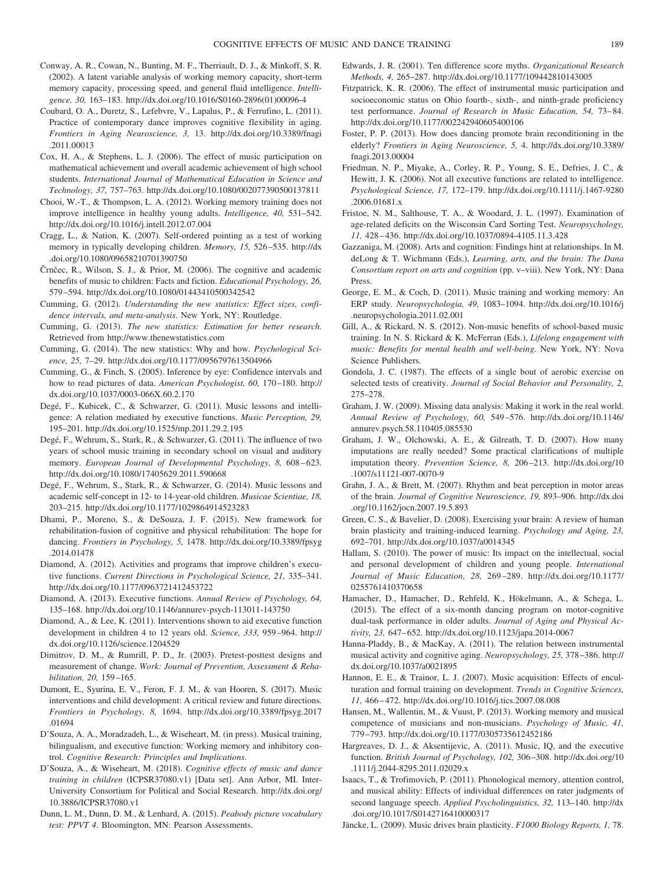- <span id="page-11-36"></span>Conway, A. R., Cowan, N., Bunting, M. F., Therriault, D. J., & Minkoff, S. R. (2002). A latent variable analysis of working memory capacity, short-term memory capacity, processing speed, and general fluid intelligence. *Intelligence, 30,* 163–183. [http://dx.doi.org/10.1016/S0160-2896\(01\)00096-4](http://dx.doi.org/10.1016/S0160-2896%2801%2900096-4)
- <span id="page-11-20"></span>Coubard, O. A., Duretz, S., Lefebvre, V., Lapalus, P., & Ferrufino, L. (2011). Practice of contemporary dance improves cognitive flexibility in aging. *Frontiers in Aging Neuroscience, 3,* 13. [http://dx.doi.org/10.3389/fnagi](http://dx.doi.org/10.3389/fnagi.2011.00013) [.2011.00013](http://dx.doi.org/10.3389/fnagi.2011.00013)
- <span id="page-11-11"></span>Cox, H. A., & Stephens, L. J. (2006). The effect of music participation on mathematical achievement and overall academic achievement of high school students. *International Journal of Mathematical Education in Science and Technology, 37,* 757–763.<http://dx.doi.org/10.1080/002077390500137811>
- <span id="page-11-40"></span>Chooi, W.-T., & Thompson, L. A. (2012). Working memory training does not improve intelligence in healthy young adults. *Intelligence, 40,* 531–542. <http://dx.doi.org/10.1016/j.intell.2012.07.004>
- <span id="page-11-33"></span>Cragg, L., & Nation, K. (2007). Self-ordered pointing as a test of working memory in typically developing children. *Memory, 15,* 526–535. [http://dx](http://dx.doi.org/10.1080/09658210701390750) [.doi.org/10.1080/09658210701390750](http://dx.doi.org/10.1080/09658210701390750)
- <span id="page-11-14"></span>Črnčec, R., Wilson, S. J., & Prior, M. (2006). The cognitive and academic benefits of music to children: Facts and fiction. *Educational Psychology, 26,* 579–594.<http://dx.doi.org/10.1080/01443410500342542>
- <span id="page-11-28"></span>Cumming, G. (2012). *Understanding the new statistics: Effect sizes, confidence intervals, and meta-analysis*. New York, NY: Routledge.
- <span id="page-11-29"></span>Cumming, G. (2013). *The new statistics: Estimation for better research*. Retrieved from<http://www.thenewstatistics.com>
- <span id="page-11-30"></span>Cumming, G. (2014). The new statistics: Why and how. *Psychological Science, 25,* 7–29.<http://dx.doi.org/10.1177/0956797613504966>
- <span id="page-11-31"></span>Cumming, G., & Finch, S. (2005). Inference by eye: Confidence intervals and how to read pictures of data. *American Psychologist, 60,* 170–180. [http://](http://dx.doi.org/10.1037/0003-066X.60.2.170) [dx.doi.org/10.1037/0003-066X.60.2.170](http://dx.doi.org/10.1037/0003-066X.60.2.170)
- <span id="page-11-6"></span>Degé, F., Kubicek, C., & Schwarzer, G. (2011). Music lessons and intelligence: A relation mediated by executive functions. *Music Perception, 29,* 195–201.<http://dx.doi.org/10.1525/mp.2011.29.2.195>
- <span id="page-11-8"></span>Degé, F., Wehrum, S., Stark, R., & Schwarzer, G. (2011). The influence of two years of school music training in secondary school on visual and auditory memory. *European Journal of Developmental Psychology, 8,* 608–623. <http://dx.doi.org/10.1080/17405629.2011.590668>
- <span id="page-11-13"></span>Degé, F., Wehrum, S., Stark, R., & Schwarzer, G. (2014). Music lessons and academic self-concept in 12- to 14-year-old children. *Musicae Scientiae, 18,* 203–215.<http://dx.doi.org/10.1177/1029864914523283>
- <span id="page-11-21"></span>Dhami, P., Moreno, S., & DeSouza, J. F. (2015). New framework for rehabilitation-fusion of cognitive and physical rehabilitation: The hope for dancing. *Frontiers in Psychology, 5,* 1478. [http://dx.doi.org/10.3389/fpsyg](http://dx.doi.org/10.3389/fpsyg.2014.01478) [.2014.01478](http://dx.doi.org/10.3389/fpsyg.2014.01478)
- <span id="page-11-38"></span>Diamond, A. (2012). Activities and programs that improve children's executive functions. *Current Directions in Psychological Science, 21,* 335–341. <http://dx.doi.org/10.1177/0963721412453722>
- <span id="page-11-3"></span>Diamond, A. (2013). Executive functions. *Annual Review of Psychology, 64,* 135–168.<http://dx.doi.org/10.1146/annurev-psych-113011-143750>
- <span id="page-11-4"></span>Diamond, A., & Lee, K. (2011). Interventions shown to aid executive function development in children 4 to 12 years old. *Science, 333,* 959–964. [http://](http://dx.doi.org/10.1126/science.1204529) [dx.doi.org/10.1126/science.1204529](http://dx.doi.org/10.1126/science.1204529)
- <span id="page-11-26"></span>Dimitrov, D. M., & Rumrill, P. D., Jr. (2003). Pretest-posttest designs and measurement of change. *Work: Journal of Prevention, Assessment & Rehabilitation, 20,* 159–165.
- <span id="page-11-16"></span>Dumont, E., Syurina, E. V., Feron, F. J. M., & van Hooren, S. (2017). Music interventions and child development: A critical review and future directions. *Frontiers in Psychology, 8,* 1694. [http://dx.doi.org/10.3389/fpsyg.2017](http://dx.doi.org/10.3389/fpsyg.2017.01694) [.01694](http://dx.doi.org/10.3389/fpsyg.2017.01694)
- <span id="page-11-18"></span>D'Souza, A. A., Moradzadeh, L., & Wiseheart, M. (in press). Musical training, bilingualism, and executive function: Working memory and inhibitory control. *Cognitive Research: Principles and Implications*.
- <span id="page-11-0"></span>D'Souza, A., & Wiseheart, M. (2018). *Cognitive effects of music and dance training in children* (ICPSR37080.v1) [Data set]. Ann Arbor, MI. Inter-University Consortium for Political and Social Research. [http://dx.doi.org/](http://dx.doi.org/10.3886/ICPSR37080.v1) [10.3886/ICPSR37080.v1](http://dx.doi.org/10.3886/ICPSR37080.v1)
- <span id="page-11-32"></span>Dunn, L. M., Dunn, D. M., & Lenhard, A. (2015). *Peabody picture vocabulary test: PPVT 4*. Bloomington, MN: Pearson Assessments.
- <span id="page-11-27"></span>Edwards, J. R. (2001). Ten difference score myths. *Organizational Research Methods, 4,* 265–287.<http://dx.doi.org/10.1177/109442810143005>
- <span id="page-11-12"></span>Fitzpatrick, K. R. (2006). The effect of instrumental music participation and socioeconomic status on Ohio fourth-, sixth-, and ninth-grade proficiency test performance. *Journal of Research in Music Education, 54,* 73–84. <http://dx.doi.org/10.1177/002242940605400106>
- <span id="page-11-22"></span>Foster, P. P. (2013). How does dancing promote brain reconditioning in the elderly? *Frontiers in Aging Neuroscience, 5,* 4. [http://dx.doi.org/10.3389/](http://dx.doi.org/10.3389/fnagi.2013.00004) [fnagi.2013.00004](http://dx.doi.org/10.3389/fnagi.2013.00004)
- <span id="page-11-34"></span>Friedman, N. P., Miyake, A., Corley, R. P., Young, S. E., Defries, J. C., & Hewitt, J. K. (2006). Not all executive functions are related to intelligence. *Psychological Science, 17,* 172–179. [http://dx.doi.org/10.1111/j.1467-9280](http://dx.doi.org/10.1111/j.1467-9280.2006.01681.x) [.2006.01681.x](http://dx.doi.org/10.1111/j.1467-9280.2006.01681.x)
- <span id="page-11-35"></span>Fristoe, N. M., Salthouse, T. A., & Woodard, J. L. (1997). Examination of age-related deficits on the Wisconsin Card Sorting Test. *Neuropsychology, 11,* 428–436.<http://dx.doi.org/10.1037/0894-4105.11.3.428>
- <span id="page-11-17"></span>Gazzaniga, M. (2008). Arts and cognition: Findings hint at relationships. In M. deLong & T. Wichmann (Eds.), *Learning, arts, and the brain: The Dana Consortium report on arts and cognition* (pp. v–viii). New York, NY: Dana Press.
- <span id="page-11-37"></span>George, E. M., & Coch, D. (2011). Music training and working memory: An ERP study. *Neuropsychologia, 49,* 1083–1094. [http://dx.doi.org/10.1016/j](http://dx.doi.org/10.1016/j.neuropsychologia.2011.02.001) [.neuropsychologia.2011.02.001](http://dx.doi.org/10.1016/j.neuropsychologia.2011.02.001)
- <span id="page-11-42"></span>Gill, A., & Rickard, N. S. (2012). Non-music benefits of school-based music training. In N. S. Rickard & K. McFerran (Eds.), *Lifelong engagement with music: Benefits for mental health and well-being*. New York, NY: Nova Science Publishers.
- <span id="page-11-19"></span>Gondola, J. C. (1987). The effects of a single bout of aerobic exercise on selected tests of creativity. *Journal of Social Behavior and Personality, 2,* 275–278.
- <span id="page-11-25"></span>Graham, J. W. (2009). Missing data analysis: Making it work in the real world. *Annual Review of Psychology, 60,* 549–576. [http://dx.doi.org/10.1146/](http://dx.doi.org/10.1146/annurev.psych.58.110405.085530) [annurev.psych.58.110405.085530](http://dx.doi.org/10.1146/annurev.psych.58.110405.085530)
- <span id="page-11-24"></span>Graham, J. W., Olchowski, A. E., & Gilreath, T. D. (2007). How many imputations are really needed? Some practical clarifications of multiple imputation theory. *Prevention Science, 8,* 206–213. [http://dx.doi.org/10](http://dx.doi.org/10.1007/s11121-007-0070-9) [.1007/s11121-007-0070-9](http://dx.doi.org/10.1007/s11121-007-0070-9)
- <span id="page-11-39"></span>Grahn, J. A., & Brett, M. (2007). Rhythm and beat perception in motor areas of the brain. *Journal of Cognitive Neuroscience, 19,* 893–906. [http://dx.doi](http://dx.doi.org/10.1162/jocn.2007.19.5.893) [.org/10.1162/jocn.2007.19.5.893](http://dx.doi.org/10.1162/jocn.2007.19.5.893)
- <span id="page-11-2"></span>Green, C. S., & Bavelier, D. (2008). Exercising your brain: A review of human brain plasticity and training-induced learning. *Psychology and Aging, 23,* 692–701.<http://dx.doi.org/10.1037/a0014345>
- <span id="page-11-41"></span>Hallam, S. (2010). The power of music: Its impact on the intellectual, social and personal development of children and young people. *International Journal of Music Education, 28,* 269–289. [http://dx.doi.org/10.1177/](http://dx.doi.org/10.1177/0255761410370658) [0255761410370658](http://dx.doi.org/10.1177/0255761410370658)
- <span id="page-11-23"></span>Hamacher, D., Hamacher, D., Rehfeld, K., Hökelmann, A., & Schega, L. (2015). The effect of a six-month dancing program on motor-cognitive dual-task performance in older adults. *Journal of Aging and Physical Activity, 23,* 647–652.<http://dx.doi.org/10.1123/japa.2014-0067>
- <span id="page-11-9"></span>Hanna-Pladdy, B., & MacKay, A. (2011). The relation between instrumental musical activity and cognitive aging. *Neuropsychology, 25,* 378–386. [http://](http://dx.doi.org/10.1037/a0021895) [dx.doi.org/10.1037/a0021895](http://dx.doi.org/10.1037/a0021895)
- <span id="page-11-5"></span>Hannon, E. E., & Trainor, L. J. (2007). Music acquisition: Effects of enculturation and formal training on development. *Trends in Cognitive Sciences, 11,* 466–472.<http://dx.doi.org/10.1016/j.tics.2007.08.008>
- <span id="page-11-7"></span>Hansen, M., Wallentin, M., & Vuust, P. (2013). Working memory and musical competence of musicians and non-musicians. *Psychology of Music, 41,* 779–793.<http://dx.doi.org/10.1177/0305735612452186>
- <span id="page-11-15"></span>Hargreaves, D. J., & Aksentijevic, A. (2011). Music, IQ, and the executive function. *British Journal of Psychology, 102,* 306–308. [http://dx.doi.org/10](http://dx.doi.org/10.1111/j.2044-8295.2011.02029.x) [.1111/j.2044-8295.2011.02029.x](http://dx.doi.org/10.1111/j.2044-8295.2011.02029.x)
- <span id="page-11-10"></span>Isaacs, T., & Trofimovich, P. (2011). Phonological memory, attention control, and musical ability: Effects of individual differences on rater judgments of second language speech. *Applied Psycholinguistics, 32,* 113–140. [http://dx](http://dx.doi.org/10.1017/S0142716410000317) [.doi.org/10.1017/S0142716410000317](http://dx.doi.org/10.1017/S0142716410000317)
- <span id="page-11-1"></span>Jäncke, L. (2009). Music drives brain plasticity. *F1000 Biology Reports, 1,* 78.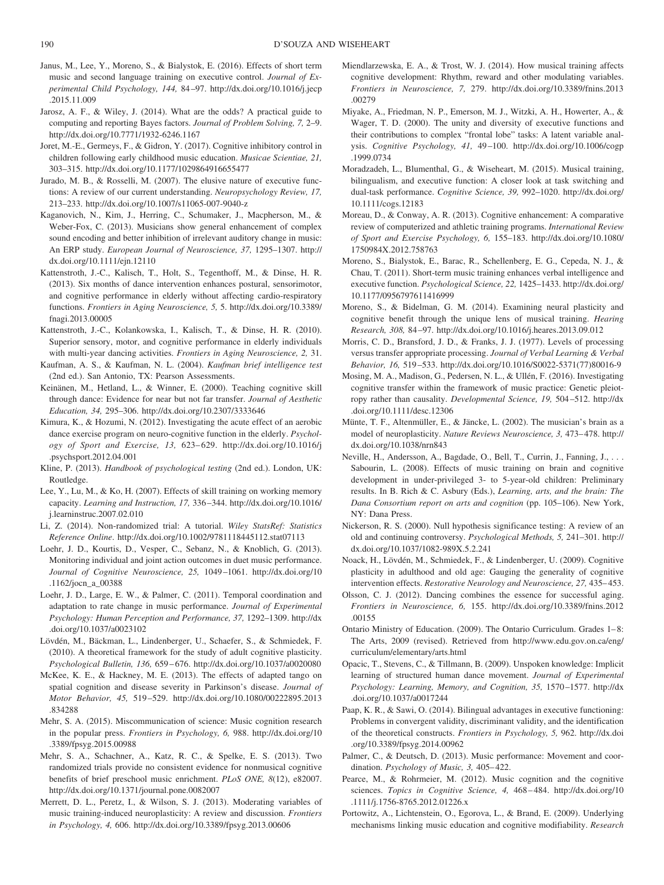- <span id="page-12-8"></span>Janus, M., Lee, Y., Moreno, S., & Bialystok, E. (2016). Effects of short term music and second language training on executive control. *Journal of Experimental Child Psychology, 144,* 84–97. [http://dx.doi.org/10.1016/j.jecp](http://dx.doi.org/10.1016/j.jecp.2015.11.009) [.2015.11.009](http://dx.doi.org/10.1016/j.jecp.2015.11.009)
- <span id="page-12-31"></span>Jarosz, A. F., & Wiley, J. (2014). What are the odds? A practical guide to computing and reporting Bayes factors. *Journal of Problem Solving, 7,* 2–9. <http://dx.doi.org/10.7771/1932-6246.1167>
- <span id="page-12-9"></span>Joret, M.-E., Germeys, F., & Gidron, Y. (2017). Cognitive inhibitory control in children following early childhood music education. *Musicae Scientiae, 21,* 303–315.<http://dx.doi.org/10.1177/1029864916655477>
- <span id="page-12-38"></span>Jurado, M. B., & Rosselli, M. (2007). The elusive nature of executive functions: A review of our current understanding. *Neuropsychology Review, 17,* 213–233.<http://dx.doi.org/10.1007/s11065-007-9040-z>
- <span id="page-12-17"></span>Kaganovich, N., Kim, J., Herring, C., Schumaker, J., Macpherson, M., & Weber-Fox, C. (2013). Musicians show general enhancement of complex sound encoding and better inhibition of irrelevant auditory change in music: An ERP study. *European Journal of Neuroscience, 37,* 1295–1307. [http://](http://dx.doi.org/10.1111/ejn.12110) [dx.doi.org/10.1111/ejn.12110](http://dx.doi.org/10.1111/ejn.12110)
- <span id="page-12-25"></span>Kattenstroth, J.-C., Kalisch, T., Holt, S., Tegenthoff, M., & Dinse, H. R. (2013). Six months of dance intervention enhances postural, sensorimotor, and cognitive performance in elderly without affecting cardio-respiratory functions. *Frontiers in Aging Neuroscience, 5,* 5. [http://dx.doi.org/10.3389/](http://dx.doi.org/10.3389/fnagi.2013.00005) [fnagi.2013.00005](http://dx.doi.org/10.3389/fnagi.2013.00005)
- <span id="page-12-26"></span>Kattenstroth, J.-C., Kolankowska, I., Kalisch, T., & Dinse, H. R. (2010). Superior sensory, motor, and cognitive performance in elderly individuals with multi-year dancing activities. *Frontiers in Aging Neuroscience, 2,* 31.
- <span id="page-12-34"></span>Kaufman, A. S., & Kaufman, N. L. (2004). *Kaufman brief intelligence test* (2nd ed.). San Antonio, TX: Pearson Assessments.
- <span id="page-12-29"></span>Keinänen, M., Hetland, L., & Winner, E. (2000). Teaching cognitive skill through dance: Evidence for near but not far transfer. *Journal of Aesthetic Education, 34,* 295–306.<http://dx.doi.org/10.2307/3333646>
- <span id="page-12-27"></span>Kimura, K., & Hozumi, N. (2012). Investigating the acute effect of an aerobic dance exercise program on neuro-cognitive function in the elderly. *Psychology of Sport and Exercise, 13,* 623–629. [http://dx.doi.org/10.1016/j](http://dx.doi.org/10.1016/j.psychsport.2012.04.001) [.psychsport.2012.04.001](http://dx.doi.org/10.1016/j.psychsport.2012.04.001)
- <span id="page-12-33"></span>Kline, P. (2013). *Handbook of psychological testing* (2nd ed.). London, UK: Routledge.
- <span id="page-12-7"></span>Lee, Y., Lu, M., & Ko, H. (2007). Effects of skill training on working memory capacity. *Learning and Instruction, 17,* 336–344. [http://dx.doi.org/10.1016/](http://dx.doi.org/10.1016/j.learninstruc.2007.02.010) [j.learninstruc.2007.02.010](http://dx.doi.org/10.1016/j.learninstruc.2007.02.010)
- <span id="page-12-37"></span>Li, Z. (2014). Non-randomized trial: A tutorial. *Wiley StatsRef: Statistics Reference Online*.<http://dx.doi.org/10.1002/9781118445112.stat07113>
- <span id="page-12-18"></span>Loehr, J. D., Kourtis, D., Vesper, C., Sebanz, N., & Knoblich, G. (2013). Monitoring individual and joint action outcomes in duet music performance. *Journal of Cognitive Neuroscience, 25,* 1049–1061. [http://dx.doi.org/10](http://dx.doi.org/10.1162/jocn_a_00388) [.1162/jocn\\_a\\_00388](http://dx.doi.org/10.1162/jocn_a_00388)
- <span id="page-12-19"></span>Loehr, J. D., Large, E. W., & Palmer, C. (2011). Temporal coordination and adaptation to rate change in music performance. *Journal of Experimental Psychology: Human Perception and Performance, 37,* 1292–1309. [http://dx](http://dx.doi.org/10.1037/a0023102) [.doi.org/10.1037/a0023102](http://dx.doi.org/10.1037/a0023102)
- <span id="page-12-2"></span>Lövdén, M., Bäckman, L., Lindenberger, U., Schaefer, S., & Schmiedek, F. (2010). A theoretical framework for the study of adult cognitive plasticity. *Psychological Bulletin, 136,* 659–676.<http://dx.doi.org/10.1037/a0020080>
- <span id="page-12-28"></span>McKee, K. E., & Hackney, M. E. (2013). The effects of adapted tango on spatial cognition and disease severity in Parkinson's disease. *Journal of Motor Behavior, 45,* 519–529. [http://dx.doi.org/10.1080/00222895.2013](http://dx.doi.org/10.1080/00222895.2013.834288) [.834288](http://dx.doi.org/10.1080/00222895.2013.834288)
- <span id="page-12-1"></span>Mehr, S. A. (2015). Miscommunication of science: Music cognition research in the popular press. *Frontiers in Psychology, 6,* 988. [http://dx.doi.org/10](http://dx.doi.org/10.3389/fpsyg.2015.00988) [.3389/fpsyg.2015.00988](http://dx.doi.org/10.3389/fpsyg.2015.00988)
- <span id="page-12-5"></span>Mehr, S. A., Schachner, A., Katz, R. C., & Spelke, E. S. (2013). Two randomized trials provide no consistent evidence for nonmusical cognitive benefits of brief preschool music enrichment. *PLoS ONE, 8*(12), e82007. <http://dx.doi.org/10.1371/journal.pone.0082007>
- <span id="page-12-11"></span>Merrett, D. L., Peretz, I., & Wilson, S. J. (2013). Moderating variables of music training-induced neuroplasticity: A review and discussion. *Frontiers in Psychology, 4,* 606.<http://dx.doi.org/10.3389/fpsyg.2013.00606>
- <span id="page-12-22"></span>Miendlarzewska, E. A., & Trost, W. J. (2014). How musical training affects cognitive development: Rhythm, reward and other modulating variables. *Frontiers in Neuroscience, 7,* 279. [http://dx.doi.org/10.3389/fnins.2013](http://dx.doi.org/10.3389/fnins.2013.00279) [.00279](http://dx.doi.org/10.3389/fnins.2013.00279)
- <span id="page-12-6"></span>Miyake, A., Friedman, N. P., Emerson, M. J., Witzki, A. H., Howerter, A., & Wager, T. D. (2000). The unity and diversity of executive functions and their contributions to complex "frontal lobe" tasks: A latent variable analysis. *Cognitive Psychology, 41,* 49–100. [http://dx.doi.org/10.1006/cogp](http://dx.doi.org/10.1006/cogp.1999.0734) [.1999.0734](http://dx.doi.org/10.1006/cogp.1999.0734)
- <span id="page-12-13"></span>Moradzadeh, L., Blumenthal, G., & Wiseheart, M. (2015). Musical training, bilingualism, and executive function: A closer look at task switching and dual-task performance. *Cognitive Science, 39,* 992–1020. [http://dx.doi.org/](http://dx.doi.org/10.1111/cogs.12183) [10.1111/cogs.12183](http://dx.doi.org/10.1111/cogs.12183)
- <span id="page-12-36"></span>Moreau, D., & Conway, A. R. (2013). Cognitive enhancement: A comparative review of computerized and athletic training programs. *International Review of Sport and Exercise Psychology, 6,* 155–183. [http://dx.doi.org/10.1080/](http://dx.doi.org/10.1080/1750984X.2012.758763) [1750984X.2012.758763](http://dx.doi.org/10.1080/1750984X.2012.758763)
- <span id="page-12-12"></span>Moreno, S., Bialystok, E., Barac, R., Schellenberg, E. G., Cepeda, N. J., & Chau, T. (2011). Short-term music training enhances verbal intelligence and executive function. *Psychological Science, 22,* 1425–1433. [http://dx.doi.org/](http://dx.doi.org/10.1177/0956797611416999) [10.1177/0956797611416999](http://dx.doi.org/10.1177/0956797611416999)
- <span id="page-12-15"></span>Moreno, S., & Bidelman, G. M. (2014). Examining neural plasticity and cognitive benefit through the unique lens of musical training. *Hearing Research, 308,* 84–97.<http://dx.doi.org/10.1016/j.heares.2013.09.012>
- <span id="page-12-3"></span>Morris, C. D., Bransford, J. D., & Franks, J. J. (1977). Levels of processing versus transfer appropriate processing. *Journal of Verbal Learning & Verbal Behavior, 16,* 519–533. [http://dx.doi.org/10.1016/S0022-5371\(77\)80016-9](http://dx.doi.org/10.1016/S0022-5371%2877%2980016-9)
- <span id="page-12-10"></span>Mosing, M. A., Madison, G., Pedersen, N. L., & Ullén, F. (2016). Investigating cognitive transfer within the framework of music practice: Genetic pleiotropy rather than causality. *Developmental Science, 19,* 504–512. [http://dx](http://dx.doi.org/10.1111/desc.12306) [.doi.org/10.1111/desc.12306](http://dx.doi.org/10.1111/desc.12306)
- <span id="page-12-0"></span>Münte, T. F., Altenmüller, E., & Jäncke, L. (2002). The musician's brain as a model of neuroplasticity. *Nature Reviews Neuroscience, 3,* 473–478. [http://](http://dx.doi.org/10.1038/nrn843) [dx.doi.org/10.1038/nrn843](http://dx.doi.org/10.1038/nrn843)
- <span id="page-12-21"></span>Neville, H., Andersson, A., Bagdade, O., Bell, T., Currin, J., Fanning, J.,... Sabourin, L. (2008). Effects of music training on brain and cognitive development in under-privileged 3- to 5-year-old children: Preliminary results. In B. Rich & C. Asbury (Eds.), *Learning, arts, and the brain: The Dana Consortium report on arts and cognition* (pp. 105–106). New York, NY: Dana Press.
- <span id="page-12-32"></span>Nickerson, R. S. (2000). Null hypothesis significance testing: A review of an old and continuing controversy. *Psychological Methods, 5,* 241–301. [http://](http://dx.doi.org/10.1037/1082-989X.5.2.241) [dx.doi.org/10.1037/1082-989X.5.2.241](http://dx.doi.org/10.1037/1082-989X.5.2.241)
- <span id="page-12-4"></span>Noack, H., Lövdén, M., Schmiedek, F., & Lindenberger, U. (2009). Cognitive plasticity in adulthood and old age: Gauging the generality of cognitive intervention effects. *Restorative Neurology and Neuroscience, 27,* 435–453.
- <span id="page-12-30"></span>Olsson, C. J. (2012). Dancing combines the essence for successful aging. *Frontiers in Neuroscience, 6,* 155. [http://dx.doi.org/10.3389/fnins.2012](http://dx.doi.org/10.3389/fnins.2012.00155) [.00155](http://dx.doi.org/10.3389/fnins.2012.00155)
- <span id="page-12-14"></span>Ontario Ministry of Education. (2009). The Ontario Curriculum. Grades 1–8: The Arts, 2009 (revised). Retrieved from [http://www.edu.gov.on.ca/eng/](http://www.edu.gov.on.ca/eng/curriculum/elementary/arts.html) [curriculum/elementary/arts.html](http://www.edu.gov.on.ca/eng/curriculum/elementary/arts.html)
- <span id="page-12-24"></span>Opacic, T., Stevens, C., & Tillmann, B. (2009). Unspoken knowledge: Implicit learning of structured human dance movement. *Journal of Experimental Psychology: Learning, Memory, and Cognition, 35,* 1570–1577. [http://dx](http://dx.doi.org/10.1037/a0017244) [.doi.org/10.1037/a0017244](http://dx.doi.org/10.1037/a0017244)
- <span id="page-12-35"></span>Paap, K. R., & Sawi, O. (2014). Bilingual advantages in executive functioning: Problems in convergent validity, discriminant validity, and the identification of the theoretical constructs. *Frontiers in Psychology, 5,* 962. [http://dx.doi](http://dx.doi.org/10.3389/fpsyg.2014.00962) [.org/10.3389/fpsyg.2014.00962](http://dx.doi.org/10.3389/fpsyg.2014.00962)
- <span id="page-12-20"></span>Palmer, C., & Deutsch, D. (2013). Music performance: Movement and coordination. *Psychology of Music, 3,* 405–422.
- <span id="page-12-16"></span>Pearce, M., & Rohrmeier, M. (2012). Music cognition and the cognitive sciences. *Topics in Cognitive Science, 4,* 468–484. [http://dx.doi.org/10](http://dx.doi.org/10.1111/j.1756-8765.2012.01226.x) [.1111/j.1756-8765.2012.01226.x](http://dx.doi.org/10.1111/j.1756-8765.2012.01226.x)
- <span id="page-12-23"></span>Portowitz, A., Lichtenstein, O., Egorova, L., & Brand, E. (2009). Underlying mechanisms linking music education and cognitive modifiability. *Research*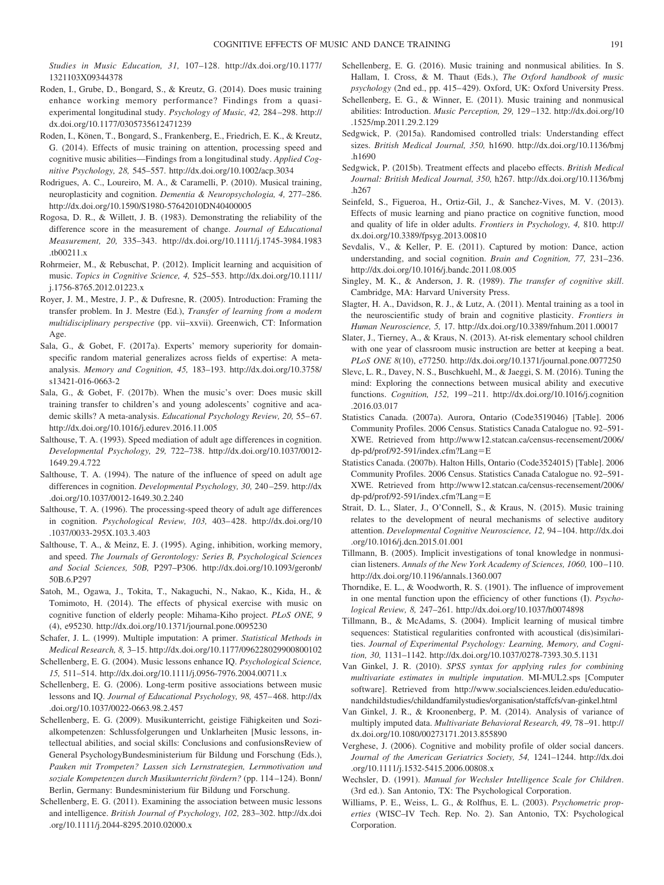*Studies in Music Education, 31,* 107–128. [http://dx.doi.org/10.1177/](http://dx.doi.org/10.1177/1321103X09344378) [1321103X09344378](http://dx.doi.org/10.1177/1321103X09344378)

<span id="page-13-11"></span>Roden, I., Grube, D., Bongard, S., & Kreutz, G. (2014). Does music training enhance working memory performance? Findings from a quasiexperimental longitudinal study. *Psychology of Music, 42,* 284–298. [http://](http://dx.doi.org/10.1177/0305735612471239) [dx.doi.org/10.1177/0305735612471239](http://dx.doi.org/10.1177/0305735612471239)

<span id="page-13-15"></span>Roden, I., Könen, T., Bongard, S., Frankenberg, E., Friedrich, E. K., & Kreutz, G. (2014). Effects of music training on attention, processing speed and cognitive music abilities—Findings from a longitudinal study. *Applied Cognitive Psychology, 28,* 545–557.<http://dx.doi.org/10.1002/acp.3034>

<span id="page-13-0"></span>Rodrigues, A. C., Loureiro, M. A., & Caramelli, P. (2010). Musical training, neuroplasticity and cognition. *Dementia & Neuropsychologia, 4,* 277–286. <http://dx.doi.org/10.1590/S1980-57642010DN40400005>

- <span id="page-13-26"></span>Rogosa, D. R., & Willett, J. B. (1983). Demonstrating the reliability of the difference score in the measurement of change. *Journal of Educational Measurement, 20,* 335–343. [http://dx.doi.org/10.1111/j.1745-3984.1983](http://dx.doi.org/10.1111/j.1745-3984.1983.tb00211.x) [.tb00211.x](http://dx.doi.org/10.1111/j.1745-3984.1983.tb00211.x)
- <span id="page-13-32"></span>Rohrmeier, M., & Rebuschat, P. (2012). Implicit learning and acquisition of music. *Topics in Cognitive Science, 4,* 525–553. [http://dx.doi.org/10.1111/](http://dx.doi.org/10.1111/j.1756-8765.2012.01223.x) [j.1756-8765.2012.01223.x](http://dx.doi.org/10.1111/j.1756-8765.2012.01223.x)
- <span id="page-13-2"></span>Royer, J. M., Mestre, J. P., & Dufresne, R. (2005). Introduction: Framing the transfer problem. In J. Mestre (Ed.), *Transfer of learning from a modern multidisciplinary perspective* (pp. vii–xxvii). Greenwich, CT: Information Age.
- <span id="page-13-17"></span>Sala, G., & Gobet, F. (2017a). Experts' memory superiority for domainspecific random material generalizes across fields of expertise: A metaanalysis. *Memory and Cognition, 45,* 183–193. [http://dx.doi.org/10.3758/](http://dx.doi.org/10.3758/s13421-016-0663-2) [s13421-016-0663-2](http://dx.doi.org/10.3758/s13421-016-0663-2)
- <span id="page-13-1"></span>Sala, G., & Gobet, F. (2017b). When the music's over: Does music skill training transfer to children's and young adolescents' cognitive and academic skills? A meta-analysis. *Educational Psychology Review, 20,* 55–67. <http://dx.doi.org/10.1016/j.edurev.2016.11.005>
- <span id="page-13-13"></span>Salthouse, T. A. (1993). Speed mediation of adult age differences in cognition. *Developmental Psychology, 29,* 722–738. [http://dx.doi.org/10.1037/0012-](http://dx.doi.org/10.1037/0012-1649.29.4.722) [1649.29.4.722](http://dx.doi.org/10.1037/0012-1649.29.4.722)
- <span id="page-13-30"></span>Salthouse, T. A. (1994). The nature of the influence of speed on adult age differences in cognition. *Developmental Psychology, 30,* 240–259. [http://dx](http://dx.doi.org/10.1037/0012-1649.30.2.240) [.doi.org/10.1037/0012-1649.30.2.240](http://dx.doi.org/10.1037/0012-1649.30.2.240)
- <span id="page-13-14"></span>Salthouse, T. A. (1996). The processing-speed theory of adult age differences in cognition. *Psychological Review, 103,* 403–428. [http://dx.doi.org/10](http://dx.doi.org/10.1037/0033-295X.103.3.403) [.1037/0033-295X.103.3.403](http://dx.doi.org/10.1037/0033-295X.103.3.403)
- <span id="page-13-31"></span>Salthouse, T. A., & Meinz, E. J. (1995). Aging, inhibition, working memory, and speed. *The Journals of Gerontology: Series B, Psychological Sciences and Social Sciences, 50B,* P297–P306. [http://dx.doi.org/10.1093/geronb/](http://dx.doi.org/10.1093/geronb/50B.6.P297) [50B.6.P297](http://dx.doi.org/10.1093/geronb/50B.6.P297)
- <span id="page-13-22"></span>Satoh, M., Ogawa, J., Tokita, T., Nakaguchi, N., Nakao, K., Kida, H., & Tomimoto, H. (2014). The effects of physical exercise with music on cognitive function of elderly people: Mihama-Kiho project. *PLoS ONE, 9* (4), e95230.<http://dx.doi.org/10.1371/journal.pone.0095230>

<span id="page-13-25"></span>Schafer, J. L. (1999). Multiple imputation: A primer. *Statistical Methods in Medical Research, 8,* 3–15.<http://dx.doi.org/10.1177/096228029900800102>

- <span id="page-13-8"></span>Schellenberg, E. G. (2004). Music lessons enhance IQ. *Psychological Science, 15,* 511–514.<http://dx.doi.org/10.1111/j.0956-7976.2004.00711.x>
- <span id="page-13-9"></span>Schellenberg, E. G. (2006). Long-term positive associations between music lessons and IQ. *Journal of Educational Psychology, 98,* 457–468. [http://dx](http://dx.doi.org/10.1037/0022-0663.98.2.457) [.doi.org/10.1037/0022-0663.98.2.457](http://dx.doi.org/10.1037/0022-0663.98.2.457)
- <span id="page-13-7"></span>Schellenberg, E. G. (2009). Musikunterricht, geistige Fähigkeiten und Sozialkompetenzen: Schlussfolgerungen und Unklarheiten [Music lessons, intellectual abilities, and social skills: Conclusions and confusionsReview of General PsychologyBundesministerium für Bildung und Forschung (Eds.), *Pauken mit Trompeten? Lassen sich Lernstrategien, Lernmotivation und soziale Kompetenzen durch Musikunterricht fördern?* (pp. 114–124). Bonn/ Berlin, Germany: Bundesministerium für Bildung und Forschung.
- <span id="page-13-10"></span>Schellenberg, E. G. (2011). Examining the association between music lessons and intelligence. *British Journal of Psychology, 102,* 283–302. [http://dx.doi](http://dx.doi.org/10.1111/j.2044-8295.2010.02000.x) [.org/10.1111/j.2044-8295.2010.02000.x](http://dx.doi.org/10.1111/j.2044-8295.2010.02000.x)
- <span id="page-13-6"></span>Schellenberg, E. G. (2016). Music training and nonmusical abilities. In S. Hallam, I. Cross, & M. Thaut (Eds.), *The Oxford handbook of music psychology* (2nd ed., pp. 415–429). Oxford, UK: Oxford University Press.
- <span id="page-13-16"></span>Schellenberg, E. G., & Winner, E. (2011). Music training and nonmusical abilities: Introduction. *Music Perception, 29,* 129–132. [http://dx.doi.org/10](http://dx.doi.org/10.1525/mp.2011.29.2.129) [.1525/mp.2011.29.2.129](http://dx.doi.org/10.1525/mp.2011.29.2.129)
- <span id="page-13-27"></span>Sedgwick, P. (2015a). Randomised controlled trials: Understanding effect sizes. *British Medical Journal, 350,* h1690. [http://dx.doi.org/10.1136/bmj](http://dx.doi.org/10.1136/bmj.h1690) [.h1690](http://dx.doi.org/10.1136/bmj.h1690)
- <span id="page-13-28"></span>Sedgwick, P. (2015b). Treatment effects and placebo effects. *British Medical Journal: British Medical Journal, 350,* h267. [http://dx.doi.org/10.1136/bmj](http://dx.doi.org/10.1136/bmj.h267) [.h267](http://dx.doi.org/10.1136/bmj.h267)
- <span id="page-13-18"></span>Seinfeld, S., Figueroa, H., Ortiz-Gil, J., & Sanchez-Vives, M. V. (2013). Effects of music learning and piano practice on cognitive function, mood and quality of life in older adults. *Frontiers in Psychology, 4,* 810. [http://](http://dx.doi.org/10.3389/fpsyg.2013.00810) [dx.doi.org/10.3389/fpsyg.2013.00810](http://dx.doi.org/10.3389/fpsyg.2013.00810)
- <span id="page-13-21"></span>Sevdalis, V., & Keller, P. E. (2011). Captured by motion: Dance, action understanding, and social cognition. *Brain and Cognition, 77,* 231–236. <http://dx.doi.org/10.1016/j.bandc.2011.08.005>
- <span id="page-13-3"></span>Singley, M. K., & Anderson, J. R. (1989). *The transfer of cognitive skill*. Cambridge, MA: Harvard University Press.
- <span id="page-13-5"></span>Slagter, H. A., Davidson, R. J., & Lutz, A. (2011). Mental training as a tool in the neuroscientific study of brain and cognitive plasticity. *Frontiers in Human Neuroscience, 5,* 17.<http://dx.doi.org/10.3389/fnhum.2011.00017>
- <span id="page-13-35"></span>Slater, J., Tierney, A., & Kraus, N. (2013). At-risk elementary school children with one year of classroom music instruction are better at keeping a beat. *PLoS ONE 8*(10), e77250.<http://dx.doi.org/10.1371/journal.pone.0077250>
- <span id="page-13-12"></span>Slevc, L. R., Davey, N. S., Buschkuehl, M., & Jaeggi, S. M. (2016). Tuning the mind: Exploring the connections between musical ability and executive functions. *Cognition, 152,* 199–211. [http://dx.doi.org/10.1016/j.cognition](http://dx.doi.org/10.1016/j.cognition.2016.03.017) [.2016.03.017](http://dx.doi.org/10.1016/j.cognition.2016.03.017)
- <span id="page-13-23"></span>Statistics Canada. (2007a). Aurora, Ontario (Code3519046) [Table]. 2006 Community Profiles. 2006 Census. Statistics Canada Catalogue no. 92–591- XWE. Retrieved from [http://www12.statcan.ca/census-recensement/2006/](http://www12.statcan.ca/census-recensement/2006/dp-pd/prof/92-591/index.cfm?Lang=E) [dp-pd/prof/92-591/index.cfm?Lang](http://www12.statcan.ca/census-recensement/2006/dp-pd/prof/92-591/index.cfm?Lang=E)-E
- <span id="page-13-24"></span>Statistics Canada. (2007b). Halton Hills, Ontario (Code3524015) [Table]. 2006 Community Profiles. 2006 Census. Statistics Canada Catalogue no. 92–591- XWE. Retrieved from [http://www12.statcan.ca/census-recensement/2006/](http://www12.statcan.ca/census-recensement/2006/dp-pd/prof/92-591/index.cfm?Lang=E) [dp-pd/prof/92-591/index.cfm?Lang](http://www12.statcan.ca/census-recensement/2006/dp-pd/prof/92-591/index.cfm?Lang=E)-E
- <span id="page-13-20"></span>Strait, D. L., Slater, J., O'Connell, S., & Kraus, N. (2015). Music training relates to the development of neural mechanisms of selective auditory attention. *Developmental Cognitive Neuroscience, 12,* 94–104. [http://dx.doi](http://dx.doi.org/10.1016/j.dcn.2015.01.001) [.org/10.1016/j.dcn.2015.01.001](http://dx.doi.org/10.1016/j.dcn.2015.01.001)
- <span id="page-13-33"></span>Tillmann, B. (2005). Implicit investigations of tonal knowledge in nonmusician listeners. *Annals of the New York Academy of Sciences, 1060,* 100–110. <http://dx.doi.org/10.1196/annals.1360.007>
- <span id="page-13-4"></span>Thorndike, E. L., & Woodworth, R. S. (1901). The influence of improvement in one mental function upon the efficiency of other functions (I). *Psychological Review, 8,* 247–261.<http://dx.doi.org/10.1037/h0074898>
- <span id="page-13-34"></span>Tillmann, B., & McAdams, S. (2004). Implicit learning of musical timbre sequences: Statistical regularities confronted with acoustical (dis)similarities. *Journal of Experimental Psychology: Learning, Memory, and Cognition, 30,* 1131–1142.<http://dx.doi.org/10.1037/0278-7393.30.5.1131>
- Van Ginkel, J. R. (2010). *SPSS syntax for applying rules for combining multivariate estimates in multiple imputation*. MI-MUL2.sps [Computer software]. Retrieved from [http://www.socialsciences.leiden.edu/educatio](http://www.socialsciences.leiden.edu/educationandchildstudies/childandfamilystudies/organisation/staffcfs/van-ginkel.html)[nandchildstudies/childandfamilystudies/organisation/staffcfs/van-ginkel.html](http://www.socialsciences.leiden.edu/educationandchildstudies/childandfamilystudies/organisation/staffcfs/van-ginkel.html)
- Van Ginkel, J. R., & Kroonenberg, P. M. (2014). Analysis of variance of multiply imputed data. *Multivariate Behavioral Research, 49,* 78–91. [http://](http://dx.doi.org/10.1080/00273171.2013.855890) [dx.doi.org/10.1080/00273171.2013.855890](http://dx.doi.org/10.1080/00273171.2013.855890)
- <span id="page-13-19"></span>Verghese, J. (2006). Cognitive and mobility profile of older social dancers. *Journal of the American Geriatrics Society, 54,* 1241–1244. [http://dx.doi](http://dx.doi.org/10.1111/j.1532-5415.2006.00808.x) [.org/10.1111/j.1532-5415.2006.00808.x](http://dx.doi.org/10.1111/j.1532-5415.2006.00808.x)
- Wechsler, D. (1991). *Manual for Wechsler Intelligence Scale for Children*. (3rd ed.). San Antonio, TX: The Psychological Corporation.
- <span id="page-13-29"></span>Williams, P. E., Weiss, L. G., & Rolfhus, E. L. (2003). *Psychometric properties* (WISC–IV Tech. Rep. No. 2). San Antonio, TX: Psychological Corporation.